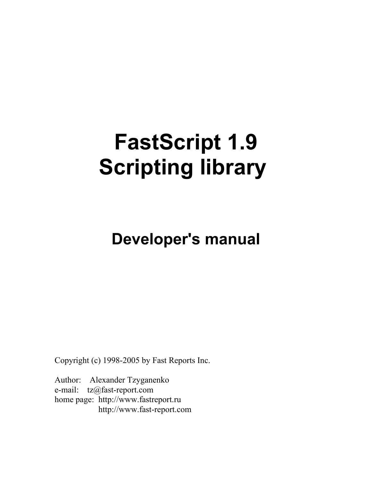## **FastScript 1.9 Scripting library**

## **Developer's manual**

Copyright (c) 1998-2005 by Fast Reports Inc.

Author: Alexander Tzyganenko e-mail: tz@fast-report.com home page: http://www.fastreport.ru http://www.fast-report.com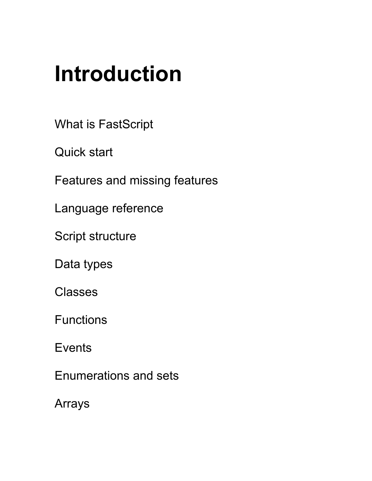## **Introduction**

What is FastScript

Quick start

Features and missing features

Language reference

Script structure

Data types

**Classes** 

Functions

**Events** 

Enumerations and sets

Arrays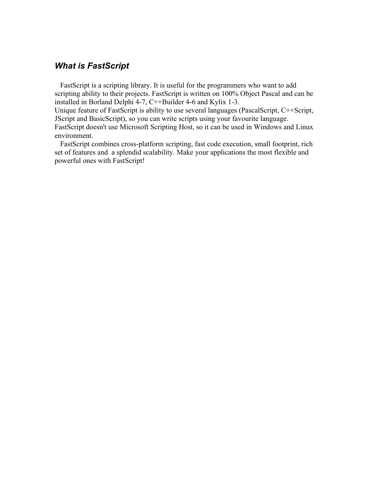## *What is FastScript*

 FastScript is a scripting library. It is useful for the programmers who want to add scripting ability to their projects. FastScript is written on 100% Object Pascal and can be installed in Borland Delphi 4-7, C++Builder 4-6 and Kylix 1-3.

Unique feature of FastScript is ability to use several languages (PascalScript, C++Script, JScript and BasicScript), so you can write scripts using your favourite language. FastScript doesn't use Microsoft Scripting Host, so it can be used in Windows and Linux environment.

 FastScript combines cross-platform scripting, fast code execution, small footprint, rich set of features and a splendid scalability. Make your applications the most flexible and powerful ones with FastScript!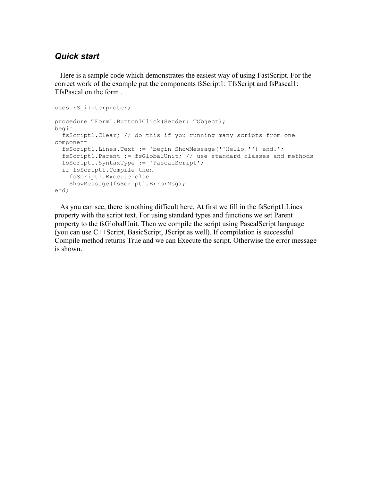## *Quick start*

 Here is a sample code which demonstrates the easiest way of using FastScript. For the correct work of the example put the components fsScript1: TfsScript and fsPascal1: TfsPascal on the form .

```
uses FS iInterpreter;
procedure TForm1.Button1Click(Sender: TObject);
begin
  fsScript1.Clear; // do this if you running many scripts from one
component
  fsScript1.Lines.Text := 'begin ShowMessage(''Hello!'') end.';
  fsScript1.Parent := fsGlobalUnit; // use standard classes and methods
  fsScript1.SyntaxType := 'PascalScript';
   if fsScript1.Compile then
     fsScript1.Execute else 
     ShowMessage(fsScript1.ErrorMsg); 
end;
```
 As you can see, there is nothing difficult here. At first we fill in the fsScript1.Lines property with the script text. For using standard types and functions we set Parent property to the fsGlobalUnit. Then we compile the script using PascalScript language (you can use C++Script, BasicScript, JScript as well). If compilation is successful Compile method returns True and we can Execute the script. Otherwise the error message is shown.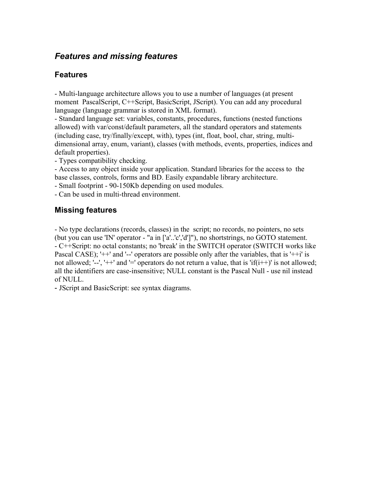## *Features and missing features*

## **Features**

- Multi-language architecture allows you to use a number of languages (at present moment PascalScript, C++Script, BasicScript, JScript). You can add any procedural language (language grammar is stored in XML format).

- Standard language set: variables, constants, procedures, functions (nested functions allowed) with var/const/default parameters, all the standard operators and statements (including case, try/finally/except, with), types (int, float, bool, char, string, multidimensional array, enum, variant), classes (with methods, events, properties, indices and default properties).

- Types compatibility checking.

- Access to any object inside your application. Standard libraries for the access to the base classes, controls, forms and BD. Easily expandable library architecture.

- Small footprint - 90-150Kb depending on used modules.

- Can be used in multi-thread environment.

## **Missing features**

- No type declarations (records, classes) in the script; no records, no pointers, no sets (but you can use 'IN' operator - "a in ['a'..'c','d']"), no shortstrings, no GOTO statement. - C++Script: no octal constants; no 'break' in the SWITCH operator (SWITCH works like Pascal CASE); ' $++'$  and '--' operators are possible only after the variables, that is ' $++i'$  is not allowed; '--', '++' and '=' operators do not return a value, that is 'if(i++)' is not allowed; all the identifiers are case-insensitive; NULL constant is the Pascal Null - use nil instead of NULL.

- JScript and BasicScript: see syntax diagrams.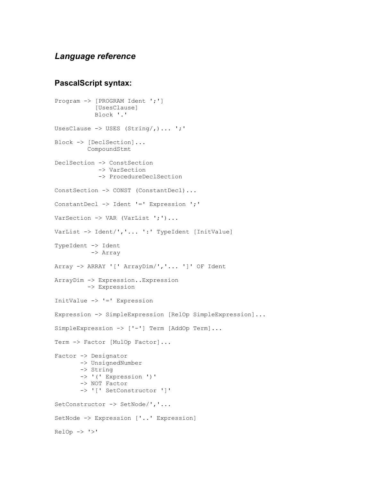## *Language reference*

#### **PascalScript syntax:**

```
Program -> [PROGRAM Ident ';']
            [UsesClause] 
            Block '.' 
UsesClause -> USES (String/,)... ';'
Block -> [DeclSection]... 
          CompoundStmt 
DeclSection -> ConstSection 
              -> VarSection 
             -> ProcedureDeclSection 
ConstSection -> CONST (ConstantDecl)... 
ConstantDecl -> Ident '=' Expression ';' 
VarSection -> VAR (VarList ';')...
VarList -> Ident/','... ':' TypeIdent [InitValue]
TypeIdent -> Ident 
           -> Array 
Array -> ARRAY '[' ArrayDim/','... ']' OF Ident 
ArrayDim -> Expression..Expression 
          -> Expression 
InitValue -> '=' Expression 
Expression -> SimpleExpression [RelOp SimpleExpression]...
SimpleExpression -> ['-'] Term [AddOp Term]... 
Term -> Factor [MulOp Factor]...
Factor -> Designator 
        -> UnsignedNumber 
        -> String 
        -> '(' Expression ')' 
        -> NOT Factor 
        -> '[' SetConstructor ']' 
SetConstructor -> SetNode/','... 
SetNode -> Expression ['..' Expression] 
RelOp \rightarrow '>}'
```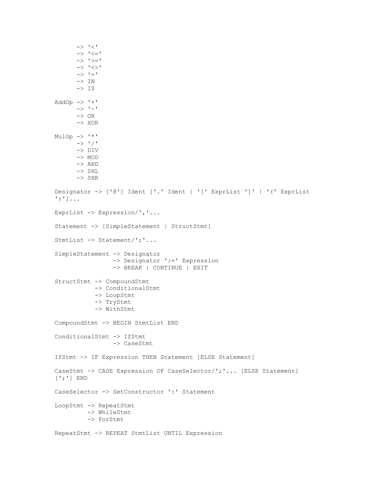```
\rightarrow '\lt''
       \rightarrow ' \leftarrow '-> '>=' -> '<>' 
       \rightarrow '='
       \rightarrow IN
       \rightarrow IS
AddOp \rightarrow '+'
       \rightarrow '-'
       \rightarrow OR
        -> XOR 
MulOp \rightarrow '{}'\rightarrow '/'
        -> DIV 
        -> MOD 
        -> AND
        -> SHL 
        -> SHR 
Designator -> ['@'] Ident ['.' Ident | '[' ExprList ']' | '(' ExprList
')']... 
ExprList -> Expression/','... 
Statement -> [SimpleStatement | StructStmt] 
StmtList -> Statement/';'... 
SimpleStatement -> Designator 
                    -> Designator ':=' Expression 
                    -> BREAK | CONTINUE | EXIT 
StructStmt -> CompoundStmt 
              -> ConditionalStmt 
              -> LoopStmt 
              -> TryStmt 
              -> WithStmt 
CompoundStmt -> BEGIN StmtList END 
ConditionalStmt -> IfStmt 
                    -> CaseStmt 
IfStmt -> IF Expression THEN Statement [ELSE Statement]
CaseStmt -> CASE Expression OF CaseSelector/';'... [ELSE Statement]
[';'] END 
CaseSelector -> SetConstructor ':' Statement
LoopStmt -> RepeatStmt 
           -> WhileStmt 
           -> ForStmt 
RepeatStmt -> REPEAT StmtList UNTIL Expression
```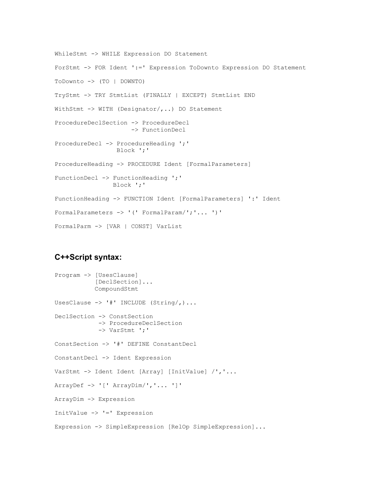```
WhileStmt -> WHILE Expression DO Statement 
ForStmt -> FOR Ident ':=' Expression ToDownto Expression DO Statement 
ToDownto -> (TO | DOWNTO) 
TryStmt -> TRY StmtList (FINALLY | EXCEPT) StmtList END 
WithStmt -> WITH (Designator/,..) DO Statement
ProcedureDeclSection -> ProcedureDecl 
                      -> FunctionDecl 
ProcedureDecl -> ProcedureHeading ';' 
                  Block ';' 
ProcedureHeading -> PROCEDURE Ident [FormalParameters] 
FunctionDecl -> FunctionHeading ';' 
                Block ';'
FunctionHeading -> FUNCTION Ident [FormalParameters] ':' Ident
FormalParameters -> '(' FormalParam/';'... ')'
FormalParm -> [VAR | CONST] VarList
```
#### **C++Script syntax:**

```
Program -> [UsesClause]
           [DeclSection]...
            CompoundStmt
UsesClause \rightarrow '#' INCLUDE (String/,)...
DeclSection -> ConstSection
             -> ProcedureDeclSection
             -> VarStmt ';'
ConstSection -> '#' DEFINE ConstantDecl
ConstantDecl -> Ident Expression
VarStmt -> Ident Ident [Array] [InitValue] /','...
ArrayDef -> '[' ArrayDim/','... ']'
ArrayDim -> Expression
InitValue -> '=' Expression
Expression -> SimpleExpression [RelOp SimpleExpression]...
```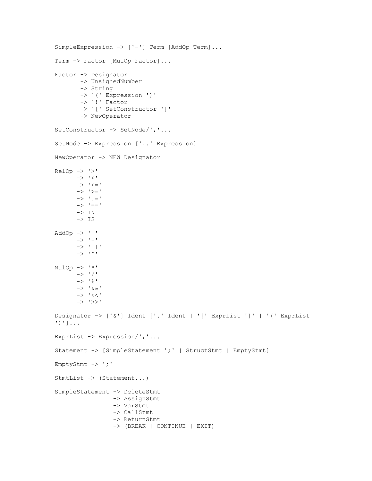```
SimpleExpression -> ['-'] Term [AddOp Term]...
Term -> Factor [MulOp Factor]...
Factor -> Designator
         -> UnsignedNumber 
         -> String
         -> '(' Expression ')' 
         -> '!' Factor
         -> '[' SetConstructor ']' 
         -> NewOperator
SetConstructor -> SetNode/','... 
SetNode -> Expression ['..' Expression] 
NewOperator -> NEW Designator
RelOp \rightarrow '>}-> \ ^{\shortmid} <^{\shortmid}\rightarrow \prime \leftarrow\rightarrow '>='\rightarrow '!='
       \rightarrow '=-'\rightarrow IN
       \rightarrow IS
AddOp \rightarrow '+'\rightarrow '-'
        -> '||'
       \rightarrow '^'
MulOp \rightarrow '*'
       \rightarrow ' /'-> '%'
       \rightarrow '&&'
        -> '<<' 
        -> '>>'
Designator -> ['&'] Ident ['.' Ident | '[' ExprList ']' | '(' ExprList
')']...
ExprList -> Expression/','...
Statement -> [SimpleStatement ';' | StructStmt | EmptyStmt]
EmptyStmt -> ';'
StmtList -> (Statement...)
SimpleStatement -> DeleteStmt
                    -> AssignStmt
                    -> VarStmt 
                    -> CallStmt 
                    -> ReturnStmt
                    -> (BREAK | CONTINUE | EXIT)
```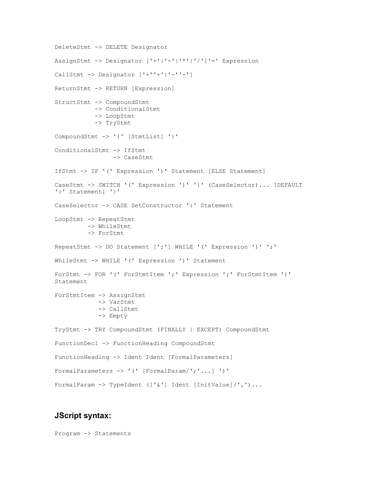```
DeleteStmt -> DELETE Designator
AssignStmt -> Designator ['+'|'-'|'*'|'/']'=' Expression 
CallStmt -> Designator ['+''+'|'-''-'] 
ReturnStmt -> RETURN [Expression] 
StructStmt -> CompoundStmt 
            -> ConditionalStmt
            -> LoopStmt 
            -> TryStmt
CompoundStmt -> '{' [StmtList] '}'
ConditionalStmt -> IfStmt
                 -> CaseStmt 
IfStmt -> IF '(' Expression ')' Statement [ELSE Statement] 
CaseStmt -> SWITCH '(' Expression ')' '{' (CaseSelector)... [DEFAULT
':' Statement] '}' 
CaseSelector -> CASE SetConstructor ':' Statement 
LoopStmt -> RepeatStmt 
          -> WhileStmt
          -> ForStmt 
RepeatStmt -> DO Statement [';'] WHILE '(' Expression ')' ';' 
WhileStmt -> WHILE '(' Expression ')' Statement 
ForStmt -> FOR '(' ForStmtItem ';' Expression ';' ForStmtItem ')'
Statement 
ForStmtItem -> AssignStmt 
             -> VarStmt
             -> CallStmt
             -> Empty 
TryStmt -> TRY CompoundStmt (FINALLY | EXCEPT) CompoundStmt 
FunctionDecl -> FunctionHeading CompoundStmt
FunctionHeading -> Ident Ident [FormalParameters]
FormalParameters -> '(' [FormalParam/';'...] ')'
FormalParam -> TypeIdent (['&'] Ident [InitValue]/',')...
```
#### **JScript syntax:**

Program -> Statements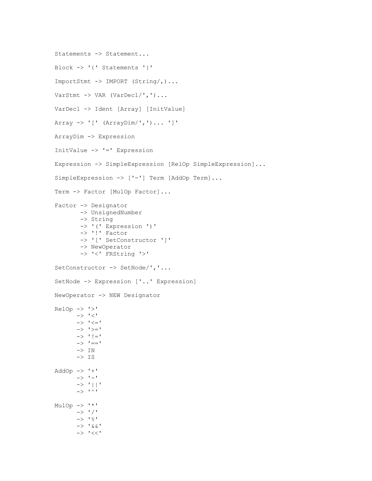```
Statements -> Statement...
Block -> '{' Statements '}'
ImportStmt -> IMPORT (String/,)...
VarStmt -> VAR (VarDecl/',')...
VarDecl -> Ident [Array] [InitValue]
Array \rightarrow '[' (ArrayDim/',')... ']'
ArrayDim -> Expression
InitValue -> '=' Expression
Expression -> SimpleExpression [RelOp SimpleExpression]...
SimpleExpression -> ['-'] Term [AddOp Term]...
Term -> Factor [MulOp Factor]...
Factor -> Designator
          -> UnsignedNumber
          -> String
          -> '(' Expression ')'
          -> '!' Factor
          -> '[' SetConstructor ']'
          -> NewOperator
          -> '<' FRString '>'
SetConstructor -> SetNode/','...
SetNode -> Expression ['..' Expression]
NewOperator -> NEW Designator
RelOp \rightarrow '>'\rightarrow '\rightarrow ' \leftarrow '\rightarrow '>='-> ' ! = '\rightarrow '=-'\mathord{\hspace{1pt}\text{--}\hspace{1pt}}>\mathord{\hspace{1pt}\text{--}\hspace{1pt}}\mathord{\text{IN}}\rightarrow IS
AddOp \rightarrow '+'\rightarrow '-'
         -> '||'
        \rightarrow '^'
MulOp \rightarrow '{}'\rightarrow ' /'\rightarrow '%'
        \rightarrow '&&'
         -> '<<'
```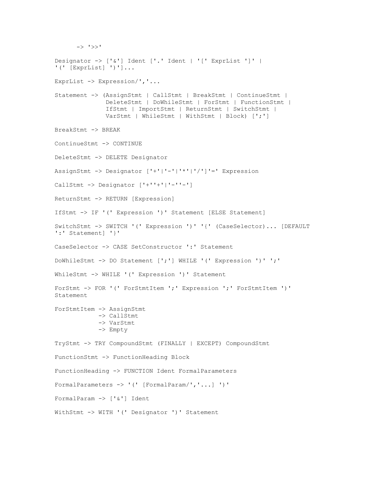```
 -> '>>'
Designator -> ['&'] Ident ['.' Ident | '[' ExprList ']' |
'(' [ExprList] ')']...
ExprList -> Expression/','...
Statement -> (AssignStmt | CallStmt | BreakStmt | ContinueStmt |
               DeleteStmt | DoWhileStmt | ForStmt | FunctionStmt |
               IfStmt | ImportStmt | ReturnStmt | SwitchStmt |
               VarStmt | WhileStmt | WithStmt | Block) [';']
BreakStmt -> BREAK
ContinueStmt -> CONTINUE
DeleteStmt -> DELETE Designator
AssignStmt -> Designator ['+'|'-'|'*'|'/']'=' Expression
CallStmt \rightarrow Designator ['+''+'']'-''-'']ReturnStmt -> RETURN [Expression]
IfStmt -> IF '(' Expression ')' Statement [ELSE Statement]
SwitchStmt -> SWITCH '(' Expression ')' '{' (CaseSelector)... [DEFAULT
':' Statement] '}'
CaseSelector -> CASE SetConstructor ':' Statement
DoWhileStmt -> DO Statement [';'] WHILE '(' Expression ')' ';'
WhileStmt -> WHILE '(' Expression ')' Statement
ForStmt -> FOR '(' ForStmtItem ';' Expression ';' ForStmtItem ')'
Statement
ForStmtItem -> AssignStmt
             -> CallStmt
             -> VarStmt
             -> Empty
TryStmt -> TRY CompoundStmt (FINALLY | EXCEPT) CompoundStmt
FunctionStmt -> FunctionHeading Block
FunctionHeading -> FUNCTION Ident FormalParameters
FormalParameters -> '(' [FormalParam/','...] ')'
FormalParam -> ['&'] Ident
WithStmt -> WITH '(' Designator ')' Statement
```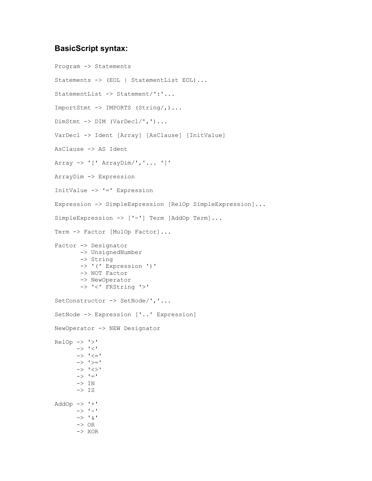#### **BasicScript syntax:**

Program -> Statements Statements -> (EOL | StatementList EOL)... StatementList -> Statement/':'... ImportStmt -> IMPORTS (String/,)... DimStmt -> DIM (VarDecl/',')... VarDecl -> Ident [Array] [AsClause] [InitValue] AsClause -> AS Ident Array  $\rightarrow$  '[' ArrayDim/','... ']' ArrayDim -> Expression InitValue -> '=' Expression Expression -> SimpleExpression [RelOp SimpleExpression]... SimpleExpression -> ['-'] Term [AddOp Term]... Term -> Factor [MulOp Factor]... Factor -> Designator -> UnsignedNumber -> String -> '(' Expression ')' -> NOT Factor -> NewOperator -> '<' FRString '>' SetConstructor -> SetNode/','... SetNode -> Expression ['..' Expression] NewOperator -> NEW Designator  $RelOp \rightarrow '>'$  $\rightarrow$  '<'  $\rightarrow$   $\prime$   $\leftarrow$   $\prime$  $\rightarrow '>='$  $\rightarrow ' \Leftrightarrow '$  $\rightarrow$   $\prime$  =  $\prime$  $\rightarrow$  IN  $\rightarrow$  IS  $AddOp \rightarrow '+'$  $\rightarrow$  '-'  $\rightarrow$  '&'  $->$  OR -> XOR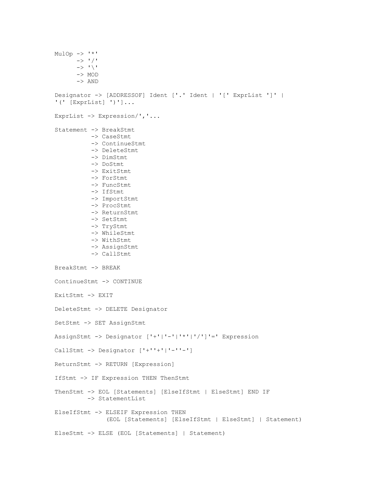```
MulOp \rightarrow '*'
      \rightarrow ' '/'
      \rightarrow '\'
       -> MOD 
       -> AND 
Designator -> [ADDRESSOF] Ident ['.' Ident | '[' ExprList ']' |
'(' [ExprList] ')']... 
ExprList -> Expression/','... 
Statement -> BreakStmt
            -> CaseStmt
            -> ContinueStmt
            -> DeleteStmt
            -> DimStmt 
            -> DoStmt
            -> ExitStmt
            -> ForStmt
            -> FuncStmt
            -> IfStmt
            -> ImportStmt 
            -> ProcStmt
            -> ReturnStmt
            -> SetStmt
            -> TryStmt
            -> WhileStmt
            -> WithStmt
            -> AssignStmt
            -> CallStmt 
BreakStmt -> BREAK 
ContinueStmt -> CONTINUE 
ExitStmt -> EXIT 
DeleteStmt -> DELETE Designator 
SetStmt -> SET AssignStmt 
AssignStmt -> Designator ['+'|'-'|'*'|'/']'=' Expression 
CallStmt -> Designator ['+''+'|'-''-'] 
ReturnStmt -> RETURN [Expression] 
IfStmt -> IF Expression THEN ThenStmt 
ThenStmt -> EOL [Statements] [ElseIfStmt | ElseStmt] END IF 
          -> StatementList 
ElseIfStmt -> ELSEIF Expression THEN 
                (EOL [Statements] [ElseIfStmt | ElseStmt] | Statement) 
ElseStmt -> ELSE (EOL [Statements] | Statement)
```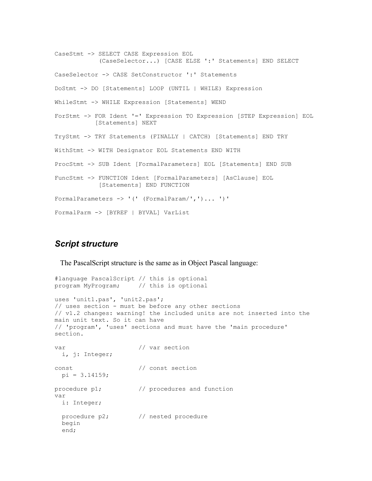```
CaseStmt -> SELECT CASE Expression EOL 
             (CaseSelector...) [CASE ELSE ':' Statements] END SELECT 
CaseSelector -> CASE SetConstructor ':' Statements 
DoStmt -> DO [Statements] LOOP (UNTIL | WHILE) Expression 
WhileStmt -> WHILE Expression [Statements] WEND 
ForStmt -> FOR Ident '=' Expression TO Expression [STEP Expression] EOL 
            [Statements] NEXT 
TryStmt -> TRY Statements (FINALLY | CATCH) [Statements] END TRY 
WithStmt -> WITH Designator EOL Statements END WITH 
ProcStmt -> SUB Ident [FormalParameters] EOL [Statements] END SUB 
FuncStmt -> FUNCTION Ident [FormalParameters] [AsClause] EOL 
             [Statements] END FUNCTION 
FormalParameters -> '(' (FormalParam/',')... ')'
FormalParm -> [BYREF | BYVAL] VarList
```
## *Script structure*

The PascalScript structure is the same as in Object Pascal language:

```
#language PascalScript // this is optional
program MyProgram; // this is optional
uses 'unit1.pas', 'unit2.pas'; 
// uses section - must be before any other sections
// v1.2 changes: warning! the included units are not inserted into the
main unit text. So it can have
// 'program', 'uses' sections and must have the 'main procedure'
section.
var \frac{1}{2} var section
  i, j: Integer;
const // const section
 pi = 3.14159;procedure p1; \frac{1}{2} // procedures and function
var
   i: Integer;
  procedure p2; \frac{1}{2} // nested procedure
   begin
   end;
```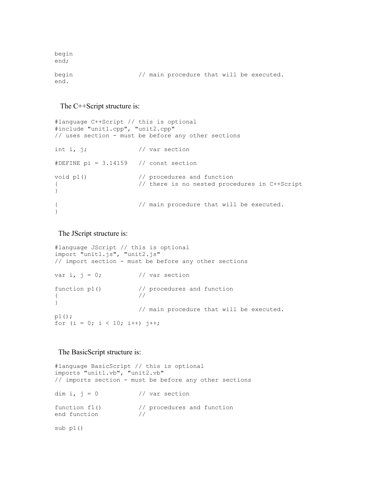```
begin
end;
begin // main procedure that will be executed.
end.
```
#### The C++Script structure is:

```
#language C++Script // this is optional
#include "unit1.cpp", "unit2.cpp" 
// uses section - must be before any other sections
int i, j; \frac{1}{2} // var section
#DEFINE pi = 3.14159 // const section
void p1() \frac{1}{2} // procedures and function
{ // there is no nested procedures in C++Script
}
{ // main procedure that will be executed.
}
```
The JScript structure is:

```
#language JScript // this is optional
import "unit1.js", "unit2.js" 
// import section - must be before any other sections
var i, j = 0; // var section
function p1() \frac{1}{2} // procedures and function
\{ //
}
                      // main procedure that will be executed. 
p1();
for (i = 0; i < 10; i++) j++)
```
#### The BasicScript structure is:

```
#language BasicScript // this is optional
imports "unit1.vb", "unit2.vb" 
// imports section - must be before any other sections
dim i, j = 0 // var section
function f1() \frac{1}{\sqrt{2}} // procedures and function end function
end function
sub p1()
```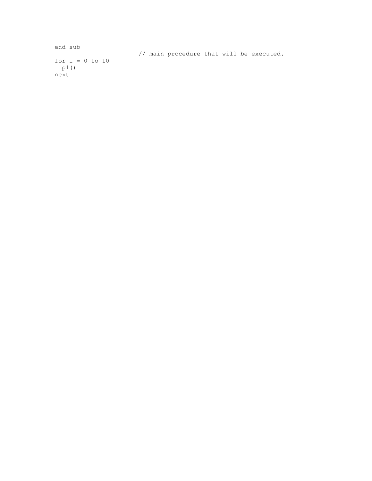```
end sub
                      // main procedure that will be executed. 
for i = 0 to 10
 p1()
next
```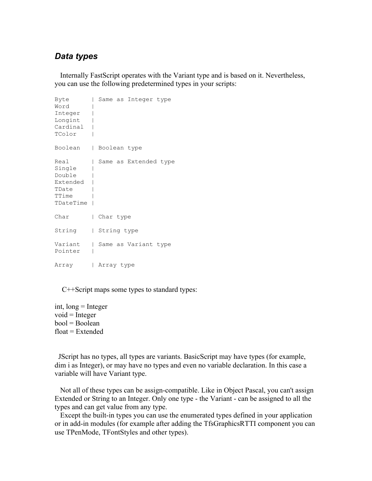## *Data types*

 Internally FastScript operates with the Variant type and is based on it. Nevertheless, you can use the following predetermined types in your scripts:

| Byte<br>Word<br>Integer<br>Longint<br>Cardinal<br>TColor            | I                              | Same as Integer type  |
|---------------------------------------------------------------------|--------------------------------|-----------------------|
| Boolean                                                             | I.                             | Boolean type          |
| Real<br>Single<br>Double<br>Extended<br>TDate<br>TTime<br>TDateTime | $\begin{array}{c} \end{array}$ | Same as Extended type |
| Char                                                                |                                | Char type             |
| String                                                              |                                | String type           |
| Variant<br>Pointer                                                  | I.                             | Same as Variant type  |
| Array                                                               |                                | Array type            |

C++Script maps some types to standard types:

int, long = Integer  $void = Integer$  $bool = Boolean$  $float = Extended$ 

 JScript has no types, all types are variants. BasicScript may have types (for example, dim i as Integer), or may have no types and even no variable declaration. In this case a variable will have Variant type.

 Not all of these types can be assign-compatible. Like in Object Pascal, you can't assign Extended or String to an Integer. Only one type - the Variant - can be assigned to all the types and can get value from any type.

 Except the built-in types you can use the enumerated types defined in your application or in add-in modules (for example after adding the TfsGraphicsRTTI component you can use TPenMode, TFontStyles and other types).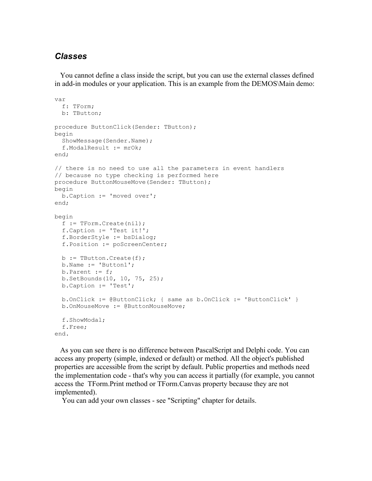## *Classes*

 You cannot define a class inside the script, but you can use the external classes defined in add-in modules or your application. This is an example from the DEMOS\Main demo:

```
var
  f: TForm;
  b: TButton;
procedure ButtonClick(Sender: TButton);
begin
  ShowMessage(Sender.Name);
   f.ModalResult := mrOk;
end;
// there is no need to use all the parameters in event handlers
// because no type checking is performed here
procedure ButtonMouseMove(Sender: TButton);
begin
  b.Caption := 'moved over';
end;
begin
  f := TForm.Create(nil);
   f.Caption := 'Test it!';
   f.BorderStyle := bsDialog;
   f.Position := poScreenCenter;
  b := \text{TButton.Created}(f); b.Name := 'Button1';
  b. Parent := f;
   b.SetBounds(10, 10, 75, 25);
   b.Caption := 'Test';
   b.OnClick := @ButtonClick; { same as b.OnClick := 'ButtonClick' }
   b.OnMouseMove := @ButtonMouseMove;
   f.ShowModal;
   f.Free;
end.
```
 As you can see there is no difference between PascalScript and Delphi code. You can access any property (simple, indexed or default) or method. All the object's published properties are accessible from the script by default. Public properties and methods need the implementation code - that's why you can access it partially (for example, you cannot access the TForm.Print method or TForm.Canvas property because they are not implemented).

You can add your own classes - see "Scripting" chapter for details.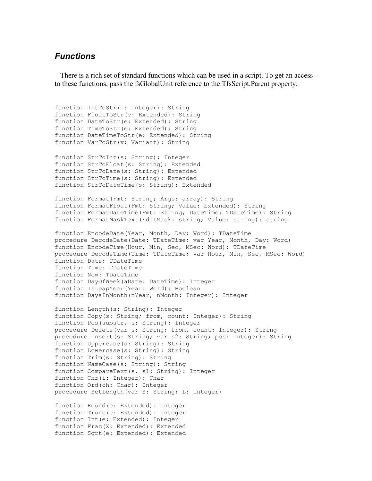#### *Functions*

 There is a rich set of standard functions which can be used in a script. To get an access to these functions, pass the fsGlobalUnit reference to the TfsScript.Parent property.

```
function IntToStr(i: Integer): String
function FloatToStr(e: Extended): String
function DateToStr(e: Extended): String
function TimeToStr(e: Extended): String
function DateTimeToStr(e: Extended): String
function VarToStr(v: Variant): String
function StrToInt(s: String): Integer
function StrToFloat(s: String): Extended
function StrToDate(s: String): Extended
function StrToTime(s: String): Extended
function StrToDateTime(s: String): Extended
function Format(Fmt: String; Args: array): String
function FormatFloat(Fmt: String; Value: Extended): String
function FormatDateTime(Fmt: String; DateTime: TDateTime): String
function FormatMaskText(EditMask: string; Value: string): string
function EncodeDate(Year, Month, Day: Word): TDateTime
procedure DecodeDate(Date: TDateTime; var Year, Month, Day: Word)
function EncodeTime(Hour, Min, Sec, MSec: Word): TDateTime
procedure DecodeTime(Time: TDateTime; var Hour, Min, Sec, MSec: Word)
function Date: TDateTime
function Time: TDateTime
function Now: TDateTime
function DayOfWeek(aDate: DateTime): Integer
function IsLeapYear(Year: Word): Boolean
function DaysInMonth(nYear, nMonth: Integer): Integer
function Length(s: String): Integer
function Copy(s: String; from, count: Integer): String
function Pos(substr, s: String): Integer
procedure Delete(var s: String; from, count: Integer): String
procedure Insert(s: String; var s2: String; pos: Integer): String
function Uppercase(s: String): String
function Lowercase(s: String): String
function Trim(s: String): String
function NameCase(s: String): String
function CompareText(s, s1: String): Integer
function Chr(i: Integer): Char
function Ord(ch: Char): Integer
procedure SetLength(var S: String; L: Integer)
function Round(e: Extended): Integer
function Trunc(e: Extended): Integer
function Int(e: Extended): Integer
function Frac(X: Extended): Extended
```
function Sqrt(e: Extended): Extended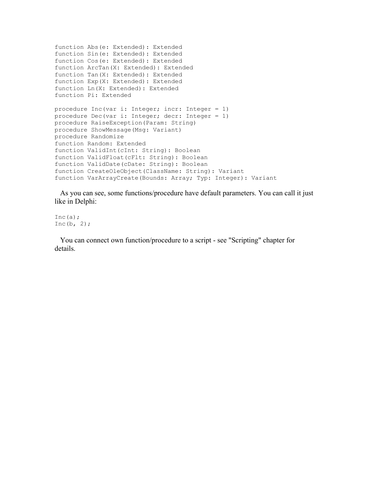```
function Abs(e: Extended): Extended
function Sin(e: Extended): Extended
function Cos(e: Extended): Extended
function ArcTan(X: Extended): Extended
function Tan(X: Extended): Extended
function Exp(X: Extended): Extended
function Ln(X: Extended): Extended
function Pi: Extended
procedure Inc(var i: Integer; incr: Integer = 1)
procedure Dec(var i: Integer; decr: Integer = 1)
procedure RaiseException(Param: String)
procedure ShowMessage(Msg: Variant)
procedure Randomize
function Random: Extended
function ValidInt(cInt: String): Boolean
function ValidFloat(cFlt: String): Boolean
function ValidDate(cDate: String): Boolean
function CreateOleObject(ClassName: String): Variant
function VarArrayCreate(Bounds: Array; Typ: Integer): Variant
```
 As you can see, some functions/procedure have default parameters. You can call it just like in Delphi:

Inc $(a)$ ; Inc(b,  $2$ );

 You can connect own function/procedure to a script - see "Scripting" chapter for details.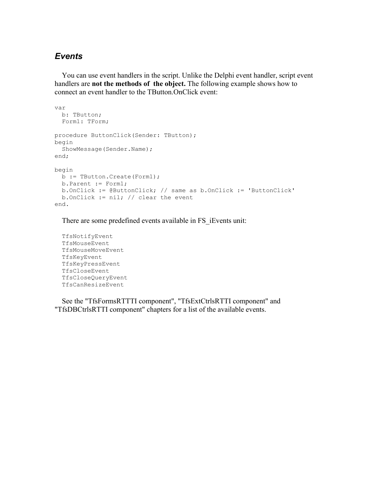## *Events*

 You can use event handlers in the script. Unlike the Delphi event handler, script event handlers are **not the methods of the object.** The following example shows how to connect an event handler to the TButton.OnClick event:

```
var
  b: TButton;
  Form1: TForm;
procedure ButtonClick(Sender: TButton);
begin
  ShowMessage(Sender.Name);
end;
begin
  b := TButton.Create(Form1);
  b.Parent := Form1;
  b.OnClick := @ButtonClick; // same as b.OnClick := 'ButtonClick'
 b.OnClick := nil; // clear the event
end.
```
There are some predefined events available in FS iEvents unit:

```
 TfsNotifyEvent
 TfsMouseEvent
 TfsMouseMoveEvent
 TfsKeyEvent
 TfsKeyPressEvent
 TfsCloseEvent
 TfsCloseQueryEvent
 TfsCanResizeEvent
```
 See the "TfsFormsRTTTI component", "TfsExtCtrlsRTTI component" and "TfsDBCtrlsRTTI component" chapters for a list of the available events.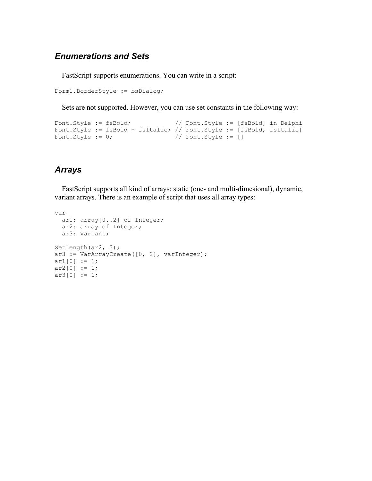## *Enumerations and Sets*

FastScript supports enumerations. You can write in a script:

Form1.BorderStyle := bsDialog;

Sets are not supported. However, you can use set constants in the following way:

```
Font.Style := fsBold; // Font.Style := [fsBold] in Delphi
Font.Style := fsBold + fsItalic; // Font.Style := [fsBold, fsItalic]<br>Font.Style := 0; // Font.Style := []
                                     // Font.Style := []
```
## *Arrays*

 FastScript supports all kind of arrays: static (one- and multi-dimesional), dynamic, variant arrays. There is an example of script that uses all array types:

```
var 
  ar1: array[0..2] of Integer;
  ar2: array of Integer;
  ar3: Variant;
SetLength(ar2, 3);
ar3 := VarArrayCreate([0, 2], varInteger);
ar1[0] := 1;ar2[0] := 1;ar3[0] := 1;
```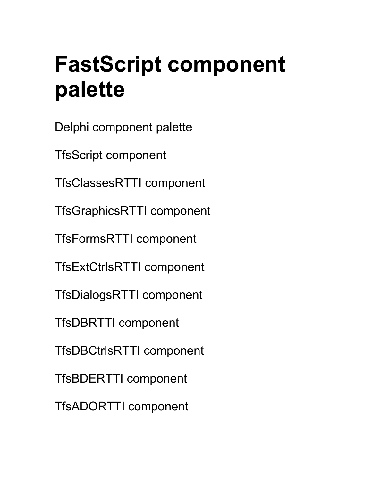## **FastScript component palette**

Delphi component palette

TfsScript component

TfsClassesRTTI component

TfsGraphicsRTTI component

TfsFormsRTTI component

TfsExtCtrlsRTTI component

TfsDialogsRTTI component

TfsDBRTTI component

TfsDBCtrlsRTTI component

TfsBDERTTI component

TfsADORTTI component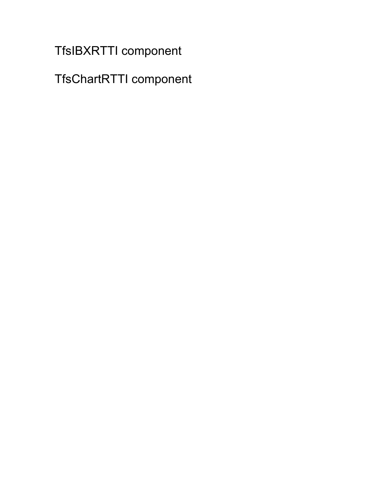TfsIBXRTTI component

TfsChartRTTI component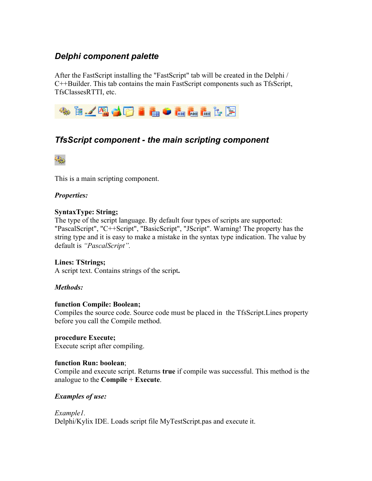## *Delphi component palette*

After the FastScript installing the "FastScript" tab will be created in the Delphi / C++Builder. This tab contains the main FastScript components such as TfsScript, TfsClassesRTTI, etc.



## *TfsScript component - the main scripting component*



This is a main scripting component.

#### *Properties:*

#### **SyntaxType: String;**

The type of the script language. By default four types of scripts are supported: "PascalScript", "C++Script", "BasicScript", "JScript". Warning! The property has the string type and it is easy to make a mistake in the syntax type indication. The value by default is *"PascalScript".*

#### **Lines: TStrings;**

A script text. Contains strings of the script**.**

#### *Methods:*

#### **function Compile: Boolean;**

Compiles the source code. Source code must be placed in the TfsScript.Lines property before you call the Compile method.

#### **procedure Execute;**

Execute script after compiling.

#### **function Run: boolean**;

Compile and execute script. Returns **true** if compile was successful. This method is the analogue to the **Compile** + **Execute**.

#### *Examples of use:*

*Example1.*

Delphi/Kylix IDE. Loads script file MyTestScript.pas and execute it.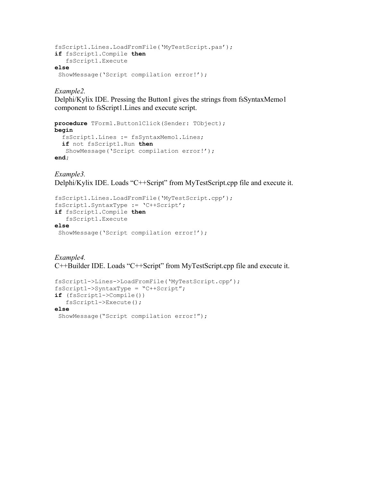```
fsScript1.Lines.LoadFromFile('MyTestScript.pas');
if fsScript1.Compile then
    fsScript1.Execute
else
 ShowMessage('Script compilation error!');
```
*Example2.*

Delphi/Kylix IDE. Pressing the Button1 gives the strings from fsSyntaxMemo1 component to fsScript1.Lines and execute script.

```
procedure TForm1.Button1Click(Sender: TObject);
begin
   fsScript1.Lines := fsSyntaxMemo1.Lines;
   if not fsScript1.Run then
    ShowMessage('Script compilation error!');
end;
```
*Example3.* Delphi/Kylix IDE. Loads "C++Script" from MyTestScript.cpp file and execute it.

```
fsScript1.Lines.LoadFromFile('MyTestScript.cpp');
fsScript1.SyntaxType := 'C++Script';
if fsScript1.Compile then
    fsScript1.Execute
else
 ShowMessage('Script compilation error!');
```
*Example4.* С++Builder IDE. Loads "C++Script" from MyTestScript.cpp file and execute it.

```
fsScript1->Lines->LoadFromFile('MyTestScript.cpp');
fsScript1->SyntaxType = "C++Script";
if (fsScript1->Compile()) 
    fsScript1->Execute();
else
 ShowMessage("Script compilation error!");
```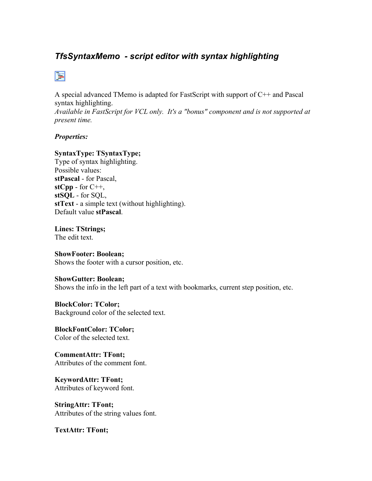## *TfsSyntaxMemo - script editor with syntax highlighting*

## 圉

A special advanced TMemo is adapted for FastScript with support of C++ and Pascal syntax highlighting.

*Available in FastScript for VCL only. It's a "bonus" component and is not supported at present time.*

#### *Properties:*

#### **SyntaxType: TSyntaxType;**

Type of syntax highlighting. Possible values: **stPascal** - for Pascal,  $stCpp - for C++,$ **stSQL** - for SQL, **stText** - a simple text (without highlighting). Default value **stPascal**.

#### **Lines: TStrings;** The edit text.

## **ShowFooter: Boolean;**

Shows the footer with a cursor position, etc.

#### **ShowGutter: Boolean;**

Shows the info in the left part of a text with bookmarks, current step position, etc.

#### **BlockColor: TColor;**

Background color of the selected text.

#### **BlockFontColor: TColor;** Color of the selected text.

**CommentAttr: TFont;** Attributes of the comment font.

**KeywordAttr: TFont;** Attributes of keyword font.

**StringAttr: TFont;** Attributes of the string values font.

**TextAttr: TFont;**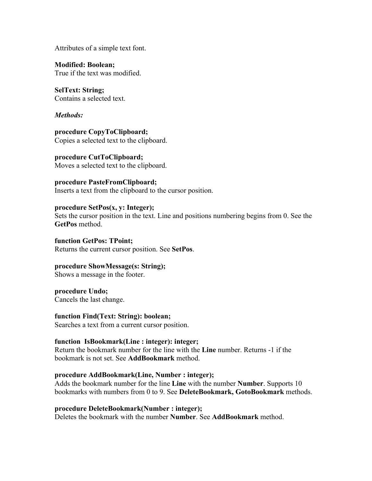Attributes of a simple text font.

**Modified: Boolean;** True if the text was modified.

**SelText: String;** Contains a selected text.

*Methods:*

**procedure CopyToClipboard;** Copies a selected text to the clipboard.

**procedure CutToClipboard;** Moves a selected text to the clipboard.

**procedure PasteFromClipboard;** Inserts a text from the clipboard to the cursor position.

**procedure SetPos(x, y: Integer);** Sets the cursor position in the text. Line and positions numbering begins from 0. See the **GetPos** method.

**function GetPos: TPoint;** Returns the current cursor position. See **SetPos**.

**procedure ShowMessage(s: String);** Shows a message in the footer.

**procedure Undo;** Cancels the last change.

**function Find(Text: String): boolean;** Searches a text from a current cursor position.

**function IsBookmark(Line : integer): integer;** Return the bookmark number for the line with the **Line** number. Returns -1 if the bookmark is not set. See **AddBookmark** method.

**procedure AddBookmark(Line, Number : integer);** Adds the bookmark number for the line **Line** with the number **Number**. Supports 10 bookmarks with numbers from 0 to 9. See **DeleteBookmark, GotoBookmark** methods.

**procedure DeleteBookmark(Number : integer);** Deletes the bookmark with the number **Number**. See **AddBookmark** method.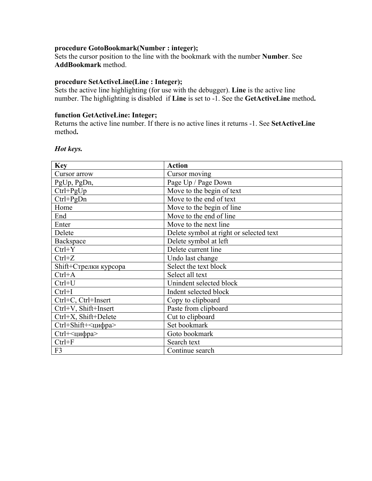#### **procedure GotoBookmark(Number : integer);**

Sets the cursor position to the line with the bookmark with the number **Number**. See **AddBookmark** method.

#### **procedure SetActiveLine(Line : Integer);**

Sets the active line highlighting (for use with the debugger). **Line** is the active line number. The highlighting is disabled if **Line** is set to -1. See the **GetActiveLine** method**.**

#### **function GetActiveLine: Integer;**

Returns the active line number. If there is no active lines it returns -1. See **SetActiveLine** method**.**

#### *Hot keys.*

| <b>Key</b>            | <b>Action</b>                           |
|-----------------------|-----------------------------------------|
| Cursor arrow          | Cursor moving                           |
| PgUp, PgDn,           | Page Up / Page Down                     |
| $Ctrl + PgUp$         | Move to the begin of text               |
| $Ctrl + PgDn$         | Move to the end of text                 |
| Home                  | Move to the begin of line               |
| End                   | Move to the end of line                 |
| Enter                 | Move to the next line                   |
| Delete                | Delete symbol at right or selected text |
| Backspace             | Delete symbol at left                   |
| $Ctrl+Y$              | Delete current line                     |
| $Ctrl + Z$            | Undo last change                        |
| Shift+Стрелки курсора | Select the text block                   |
| $Ctrl+A$              | Select all text                         |
| $Ctrl+U$              | Unindent selected block                 |
| $Ctrl+I$              | Indent selected block                   |
| Ctrl+C, Ctrl+Insert   | Copy to clipboard                       |
| Ctrl+V, Shift+Insert  | Paste from clipboard                    |
| Ctrl+X, Shift+Delete  | Cut to clipboard                        |
| Ctrl+Shift+<цифра>    | Set bookmark                            |
| Ctrl+<цифра>          | Goto bookmark                           |
| $Ctrl + F$            | Search text                             |
| F3                    | Continue search                         |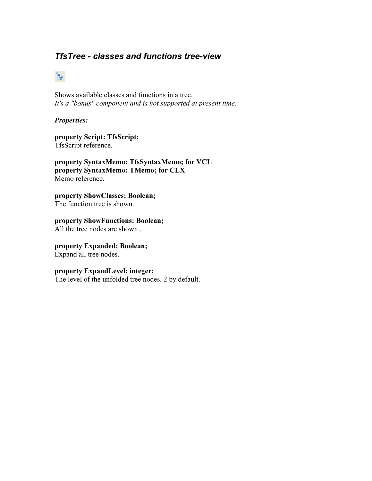## *TfsTree - classes and functions tree-view*

## ŀ.

Shows available classes and functions in a tree. *It's a "bonus" component and is not supported at present time.*

#### *Properties:*

**property Script: TfsScript;** TfsScript reference.

**property SyntaxMemo: TfsSyntaxMemo; for VCL property SyntaxMemo: TMemo; for CLX** Memo reference.

**property ShowClasses: Boolean;**  The function tree is shown.

**property ShowFunctions: Boolean;**  All the tree nodes are shown .

#### **property Expanded: Boolean;**

Expand all tree nodes.

#### **property ExpandLevel: integer;**

The level of the unfolded tree nodes. 2 by default.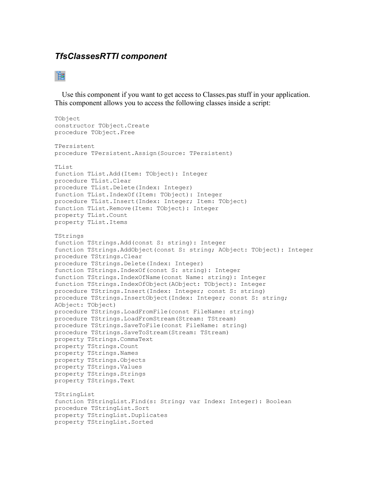## *TfsClassesRTTI component*

## 诣

 Use this component if you want to get access to Classes.pas stuff in your application. This component allows you to access the following classes inside a script:

```
TObject
constructor TObject.Create
procedure TObject.Free
TPersistent
procedure TPersistent.Assign(Source: TPersistent)
TList
function TList.Add(Item: TObject): Integer
procedure TList.Clear
procedure TList.Delete(Index: Integer)
function TList.IndexOf(Item: TObject): Integer
procedure TList.Insert(Index: Integer; Item: TObject)
function TList.Remove(Item: TObject): Integer
property TList.Count
property TList.Items
TStrings
function TStrings.Add(const S: string): Integer
function TStrings.AddObject(const S: string; AObject: TObject): Integer
procedure TStrings.Clear
procedure TStrings.Delete(Index: Integer)
function TStrings.IndexOf(const S: string): Integer
function TStrings.IndexOfName(const Name: string): Integer
function TStrings.IndexOfObject(AObject: TObject): Integer
procedure TStrings.Insert(Index: Integer; const S: string)
procedure TStrings.InsertObject(Index: Integer; const S: string;
AObject: TObject)
procedure TStrings.LoadFromFile(const FileName: string)
procedure TStrings.LoadFromStream(Stream: TStream)
procedure TStrings.SaveToFile(const FileName: string)
procedure TStrings.SaveToStream(Stream: TStream)
property TStrings.CommaText
property TStrings.Count
property TStrings.Names
property TStrings.Objects
property TStrings.Values
property TStrings.Strings
property TStrings.Text
TStringList
function TStringList.Find(s: String; var Index: Integer): Boolean
procedure TStringList.Sort
property TStringList.Duplicates
property TStringList.Sorted
```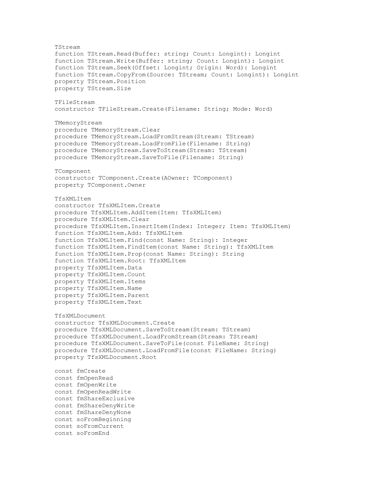TStream function TStream.Read(Buffer: string; Count: Longint): Longint function TStream.Write(Buffer: string; Count: Longint): Longint function TStream.Seek(Offset: Longint; Origin: Word): Longint function TStream.CopyFrom(Source: TStream; Count: Longint): Longint property TStream.Position property TStream.Size TFileStream constructor TFileStream.Create(Filename: String; Mode: Word) TMemoryStream procedure TMemoryStream.Clear procedure TMemoryStream.LoadFromStream(Stream: TStream) procedure TMemoryStream.LoadFromFile(Filename: String) procedure TMemoryStream.SaveToStream(Stream: TStream) procedure TMemoryStream.SaveToFile(Filename: String) TComponent constructor TComponent.Create(AOwner: TComponent) property TComponent.Owner TfsXMLItem constructor TfsXMLItem.Create procedure TfsXMLItem.AddItem(Item: TfsXMLItem) procedure TfsXMLItem.Clear procedure TfsXMLItem.InsertItem(Index: Integer; Item: TfsXMLItem) function TfsXMLItem.Add: TfsXMLItem function TfsXMLItem.Find(const Name: String): Integer function TfsXMLItem.FindItem(const Name: String): TfsXMLItem function TfsXMLItem.Prop(const Name: String): String function TfsXMLItem.Root: TfsXMLItem property TfsXMLItem.Data property TfsXMLItem.Count property TfsXMLItem.Items property TfsXMLItem.Name property TfsXMLItem.Parent property TfsXMLItem.Text TfsXMLDocument constructor TfsXMLDocument.Create procedure TfsXMLDocument.SaveToStream(Stream: TStream) procedure TfsXMLDocument.LoadFromStream(Stream: TStream) procedure TfsXMLDocument.SaveToFile(const FileName: String) procedure TfsXMLDocument.LoadFromFile(const FileName: String) property TfsXMLDocument.Root const fmCreate const fmOpenRead const fmOpenWrite const fmOpenReadWrite const fmShareExclusive const fmShareDenyWrite const fmShareDenyNone const soFromBeginning const soFromCurrent const soFromEnd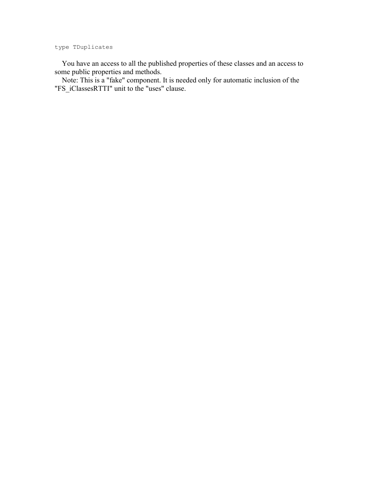type TDuplicates

 You have an access to all the published properties of these classes and an access to some public properties and methods.

 Note: This is a "fake" component. It is needed only for automatic inclusion of the "FS\_iClassesRTTI" unit to the "uses" clause.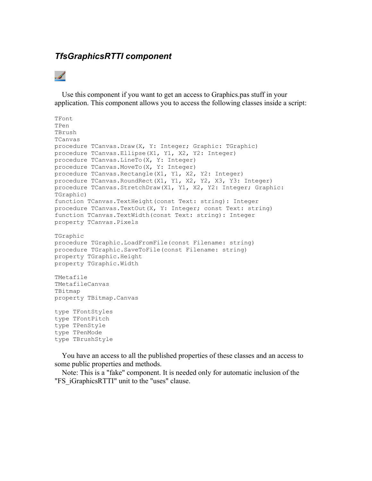## *TfsGraphicsRTTI component*

## . s

 Use this component if you want to get an access to Graphics.pas stuff in your application. This component allows you to access the following classes inside a script:

```
TFont
TPen
TBrush
TCanvas
procedure TCanvas.Draw(X, Y: Integer; Graphic: TGraphic)
procedure TCanvas.Ellipse(X1, Y1, X2, Y2: Integer)
procedure TCanvas.LineTo(X, Y: Integer)
procedure TCanvas.MoveTo(X, Y: Integer)
procedure TCanvas.Rectangle(X1, Y1, X2, Y2: Integer)
procedure TCanvas.RoundRect(X1, Y1, X2, Y2, X3, Y3: Integer)
procedure TCanvas.StretchDraw(X1, Y1, X2, Y2: Integer; Graphic:
TGraphic)
function TCanvas.TextHeight(const Text: string): Integer
procedure TCanvas.TextOut(X, Y: Integer; const Text: string)
function TCanvas.TextWidth(const Text: string): Integer
property TCanvas.Pixels
TGraphic
procedure TGraphic.LoadFromFile(const Filename: string)
procedure TGraphic.SaveToFile(const Filename: string)
property TGraphic.Height
property TGraphic.Width
TMetafile
TMetafileCanvas
TBitmap
property TBitmap.Canvas
type TFontStyles
type TFontPitch
type TPenStyle
type TPenMode
type TBrushStyle
```
 You have an access to all the published properties of these classes and an access to some public properties and methods.

 Note: This is a "fake" component. It is needed only for automatic inclusion of the "FS\_iGraphicsRTTI" unit to the "uses" clause.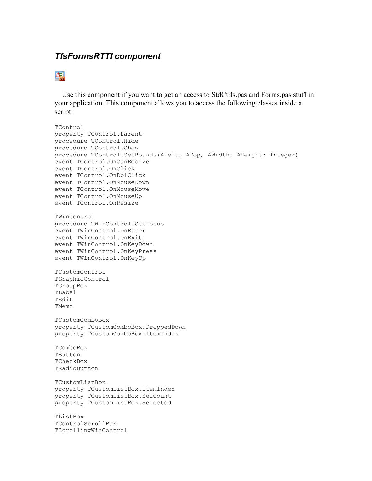## *TfsFormsRTTI component*

## $\overline{A_{\rm est}^{-1}}$

 Use this component if you want to get an access to StdCtrls.pas and Forms.pas stuff in your application. This component allows you to access the following classes inside a script:

```
TControl
property TControl.Parent
procedure TControl.Hide
procedure TControl.Show
procedure TControl.SetBounds(ALeft, ATop, AWidth, AHeight: Integer)
event TControl.OnCanResize
event TControl.OnClick
event TControl.OnDblClick
event TControl.OnMouseDown
event TControl.OnMouseMove
event TControl.OnMouseUp
event TControl.OnResize
TWinControl
procedure TWinControl.SetFocus
event TWinControl.OnEnter
event TWinControl.OnExit
event TWinControl.OnKeyDown
event TWinControl.OnKeyPress
event TWinControl.OnKeyUp
TCustomControl
TGraphicControl
TGroupBox
TLabel
TEdit
TMemo
TCustomComboBox
property TCustomComboBox.DroppedDown
property TCustomComboBox.ItemIndex
TComboBox
TButton
TCheckBox
TRadioButton
TCustomListBox
property TCustomListBox.ItemIndex
property TCustomListBox.SelCount
property TCustomListBox.Selected
TListBox
TControlScrollBar
TScrollingWinControl
```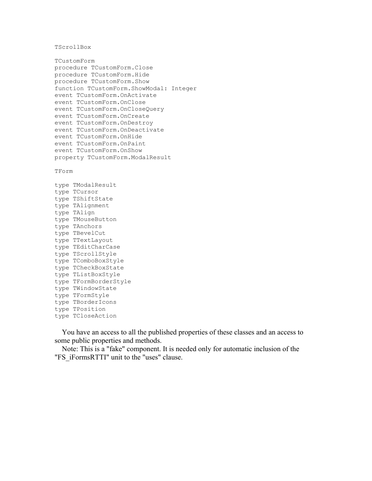TScrollBox

```
TCustomForm
procedure TCustomForm.Close
procedure TCustomForm.Hide
procedure TCustomForm.Show
function TCustomForm.ShowModal: Integer
event TCustomForm.OnActivate
event TCustomForm.OnClose
event TCustomForm.OnCloseQuery
event TCustomForm.OnCreate
event TCustomForm.OnDestroy
event TCustomForm.OnDeactivate
event TCustomForm.OnHide
event TCustomForm.OnPaint
event TCustomForm.OnShow
property TCustomForm.ModalResult
```
TForm

```
type TModalResult
type TCursor
type TShiftState
type TAlignment
type TAlign
type TMouseButton
type TAnchors
type TBevelCut
type TTextLayout
type TEditCharCase
type TScrollStyle
type TComboBoxStyle
type TCheckBoxState
type TListBoxStyle
type TFormBorderStyle
type TWindowState
type TFormStyle
type TBorderIcons
type TPosition
type TCloseAction
```
 You have an access to all the published properties of these classes and an access to some public properties and methods.

 Note: This is a "fake" component. It is needed only for automatic inclusion of the "FS\_iFormsRTTI" unit to the "uses" clause.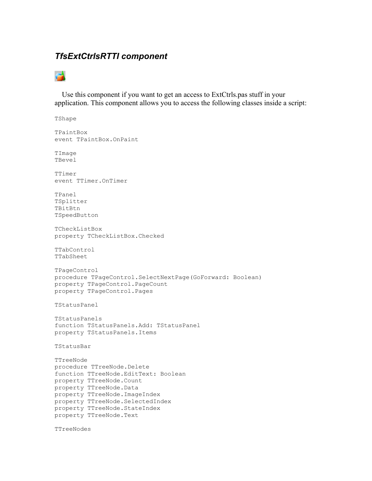## *TfsExtCtrlsRTTI component*

## e4

 Use this component if you want to get an access to ExtCtrls.pas stuff in your application. This component allows you to access the following classes inside a script:

TShape TPaintBox event TPaintBox.OnPaint TImage TBevel TTimer event TTimer.OnTimer TPanel TSplitter TBitBtn TSpeedButton TCheckListBox property TCheckListBox.Checked TTabControl TTabSheet TPageControl procedure TPageControl.SelectNextPage(GoForward: Boolean) property TPageControl.PageCount property TPageControl.Pages TStatusPanel TStatusPanels function TStatusPanels.Add: TStatusPanel property TStatusPanels.Items TStatusBar TTreeNode procedure TTreeNode.Delete function TTreeNode.EditText: Boolean property TTreeNode.Count property TTreeNode.Data property TTreeNode.ImageIndex property TTreeNode.SelectedIndex property TTreeNode.StateIndex property TTreeNode.Text

TTreeNodes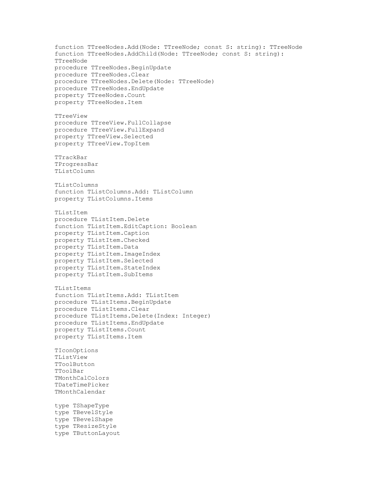```
function TTreeNodes.Add(Node: TTreeNode; const S: string): TTreeNode
function TTreeNodes.AddChild(Node: TTreeNode; const S: string):
TTreeNode
procedure TTreeNodes.BeginUpdate
procedure TTreeNodes.Clear
procedure TTreeNodes.Delete(Node: TTreeNode)
procedure TTreeNodes.EndUpdate
property TTreeNodes.Count
property TTreeNodes.Item
TTreeView
procedure TTreeView.FullCollapse
procedure TTreeView.FullExpand
property TTreeView.Selected
property TTreeView.TopItem
TTrackBar
TProgressBar
TListColumn
TListColumns
function TListColumns.Add: TListColumn
property TListColumns.Items
TListItem
procedure TListItem.Delete
function TListItem.EditCaption: Boolean
property TListItem.Caption
property TListItem.Checked
property TListItem.Data
property TListItem.ImageIndex
property TListItem.Selected
property TListItem.StateIndex
property TListItem.SubItems
TListItems
function TListItems.Add: TListItem
procedure TListItems.BeginUpdate
procedure TListItems.Clear
procedure TListItems.Delete(Index: Integer)
procedure TListItems.EndUpdate
property TListItems.Count
property TListItems.Item
TIconOptions
TListView
TToolButton
TToolBar
TMonthCalColors
TDateTimePicker
TMonthCalendar
type TShapeType
type TBevelStyle
type TBevelShape
type TResizeStyle
type TButtonLayout
```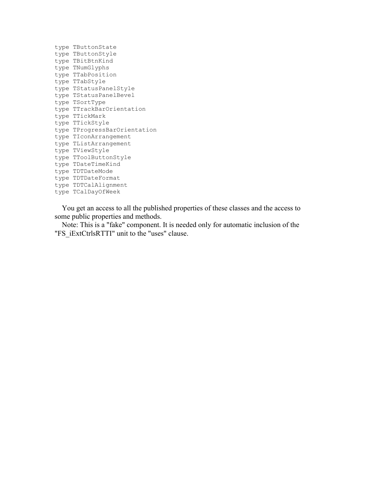```
type TButtonState
type TButtonStyle
type TBitBtnKind
type TNumGlyphs
type TTabPosition
type TTabStyle
type TStatusPanelStyle
type TStatusPanelBevel
type TSortType
type TTrackBarOrientation
type TTickMark
type TTickStyle
type TProgressBarOrientation
type TIconArrangement
type TListArrangement
type TViewStyle
type TToolButtonStyle
type TDateTimeKind
type TDTDateMode
type TDTDateFormat
type TDTCalAlignment
type TCalDayOfWeek
```
 You get an access to all the published properties of these classes and the access to some public properties and methods.

 Note: This is a "fake" component. It is needed only for automatic inclusion of the "FS\_iExtCtrlsRTTI" unit to the "uses" clause.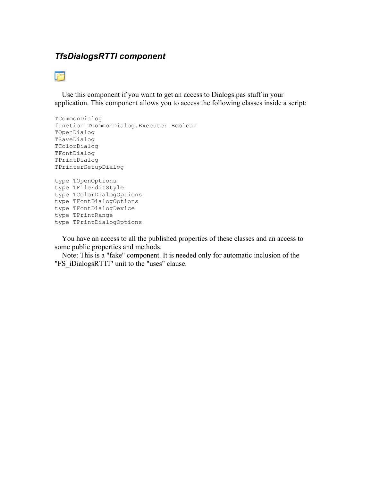## *TfsDialogsRTTI component*



 Use this component if you want to get an access to Dialogs.pas stuff in your application. This component allows you to access the following classes inside a script:

```
TCommonDialog
function TCommonDialog.Execute: Boolean
TOpenDialog
TSaveDialog
TColorDialog
TFontDialog
TPrintDialog
TPrinterSetupDialog
type TOpenOptions
type TFileEditStyle
type TColorDialogOptions
type TFontDialogOptions
type TFontDialogDevice
type TPrintRange
type TPrintDialogOptions
```
 You have an access to all the published properties of these classes and an access to some public properties and methods.

 Note: This is a "fake" component. It is needed only for automatic inclusion of the "FS\_iDialogsRTTI" unit to the "uses" clause.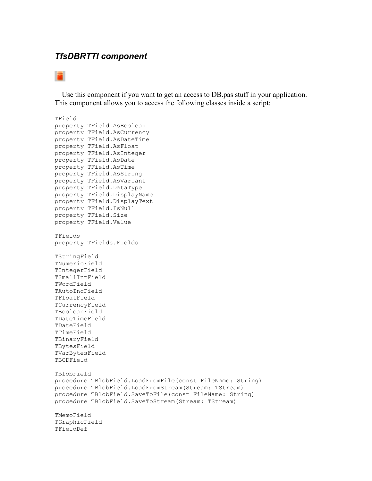#### *TfsDBRTTI component*

## 圖

 Use this component if you want to get an access to DB.pas stuff in your application. This component allows you to access the following classes inside a script:

TField property TField.AsBoolean property TField.AsCurrency property TField.AsDateTime property TField.AsFloat property TField.AsInteger property TField.AsDate property TField.AsTime property TField.AsString property TField.AsVariant property TField.DataType property TField.DisplayName property TField.DisplayText property TField.IsNull property TField.Size property TField.Value TFields property TFields.Fields TStringField TNumericField TIntegerField TSmallIntField TWordField TAutoIncField TFloatField TCurrencyField TBooleanField TDateTimeField TDateField TTimeField TBinaryField TBytesField TVarBytesField TBCDField TBlobField procedure TBlobField.LoadFromFile(const FileName: String) procedure TBlobField.LoadFromStream(Stream: TStream) procedure TBlobField.SaveToFile(const FileName: String) procedure TBlobField.SaveToStream(Stream: TStream) TMemoField TGraphicField TFieldDef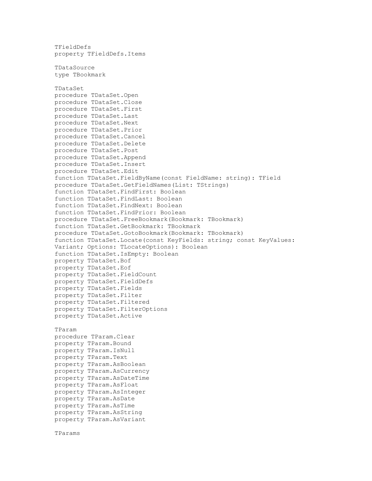```
TFieldDefs
property TFieldDefs.Items
TDataSource
type TBookmark
TDataSet
procedure TDataSet.Open
procedure TDataSet.Close
procedure TDataSet.First
procedure TDataSet.Last
procedure TDataSet.Next
procedure TDataSet.Prior
procedure TDataSet.Cancel
procedure TDataSet.Delete
procedure TDataSet.Post
procedure TDataSet.Append
procedure TDataSet.Insert
procedure TDataSet.Edit
function TDataSet.FieldByName(const FieldName: string): TField
procedure TDataSet.GetFieldNames(List: TStrings)
function TDataSet.FindFirst: Boolean
function TDataSet.FindLast: Boolean
function TDataSet.FindNext: Boolean
function TDataSet.FindPrior: Boolean
procedure TDataSet.FreeBookmark(Bookmark: TBookmark)
function TDataSet.GetBookmark: TBookmark
procedure TDataSet.GotoBookmark(Bookmark: TBookmark)
function TDataSet.Locate(const KeyFields: string; const KeyValues:
Variant; Options: TLocateOptions): Boolean
function TDataSet.IsEmpty: Boolean
property TDataSet.Bof
property TDataSet.Eof
property TDataSet.FieldCount
property TDataSet.FieldDefs
property TDataSet.Fields
property TDataSet.Filter
property TDataSet.Filtered
property TDataSet.FilterOptions
property TDataSet.Active
TParam
procedure TParam.Clear
property TParam.Bound
property TParam.IsNull
property TParam.Text
property TParam.AsBoolean
property TParam.AsCurrency
property TParam.AsDateTime
property TParam.AsFloat
property TParam.AsInteger
property TParam.AsDate
property TParam.AsTime
property TParam.AsString
property TParam.AsVariant
```

```
TParams
```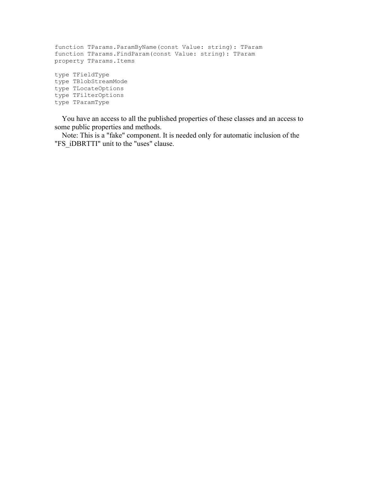function TParams.ParamByName(const Value: string): TParam function TParams.FindParam(const Value: string): TParam property TParams.Items type TFieldType type TBlobStreamMode type TLocateOptions type TFilterOptions type TParamType

 You have an access to all the published properties of these classes and an access to some public properties and methods.

 Note: This is a "fake" component. It is needed only for automatic inclusion of the "FS\_iDBRTTI" unit to the "uses" clause.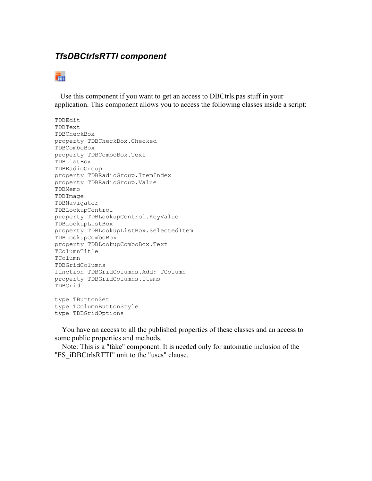## *TfsDBCtrlsRTTI component*

## ī.

 Use this component if you want to get an access to DBCtrls.pas stuff in your application. This component allows you to access the following classes inside a script:

```
TDBEdit
TDBText
TDBCheckBox
property TDBCheckBox.Checked
TDBComboBox
property TDBComboBox.Text
TDBListBox
TDBRadioGroup
property TDBRadioGroup.ItemIndex
property TDBRadioGroup.Value
TDBMemo
TDBImage
TDBNavigator
TDBLookupControl
property TDBLookupControl.KeyValue
TDBLookupListBox
property TDBLookupListBox.SelectedItem
TDBLookupComboBox
property TDBLookupComboBox.Text
TColumnTitle
TColumn
TDBGridColumns
function TDBGridColumns.Add: TColumn
property TDBGridColumns.Items
TDBGrid
type TButtonSet
```
type TColumnButtonStyle type TDBGridOptions

 You have an access to all the published properties of these classes and an access to some public properties and methods.

 Note: This is a "fake" component. It is needed only for automatic inclusion of the "FS\_iDBCtrlsRTTI" unit to the "uses" clause.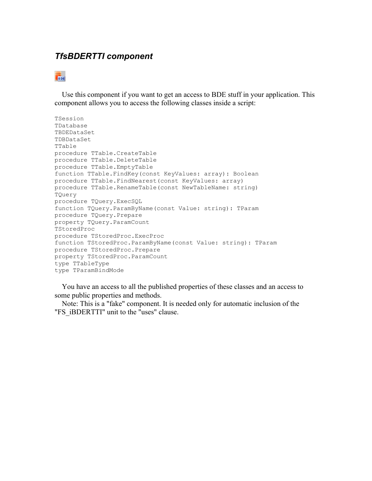## *TfsBDERTTI component*

## **Te**pe

 Use this component if you want to get an access to BDE stuff in your application. This component allows you to access the following classes inside a script:

```
TSession
TDatabase
TBDEDataSet
TDBDataSet
TTable
procedure TTable.CreateTable
procedure TTable.DeleteTable
procedure TTable.EmptyTable
function TTable.FindKey(const KeyValues: array): Boolean
procedure TTable.FindNearest(const KeyValues: array)
procedure TTable.RenameTable(const NewTableName: string)
TQuery
procedure TQuery.ExecSQL
function TQuery.ParamByName(const Value: string): TParam
procedure TQuery.Prepare
property TQuery.ParamCount
TStoredProc
procedure TStoredProc.ExecProc
function TStoredProc.ParamByName(const Value: string): TParam
procedure TStoredProc.Prepare
property TStoredProc.ParamCount
type TTableType
type TParamBindMode
```
 You have an access to all the published properties of these classes and an access to some public properties and methods.

 Note: This is a "fake" component. It is needed only for automatic inclusion of the "FS\_iBDERTTI" unit to the "uses" clause.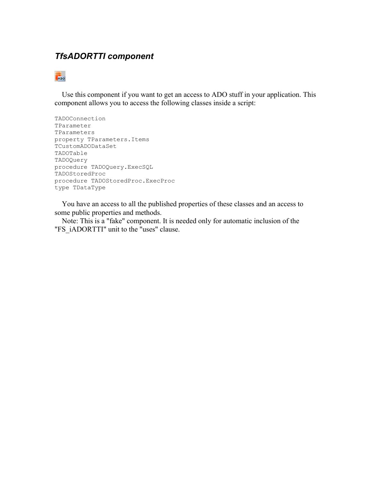## *TfsADORTTI component*

## $\overline{F}_{\text{max}}$

 Use this component if you want to get an access to ADO stuff in your application. This component allows you to access the following classes inside a script:

```
TADOConnection
TParameter
TParameters
property TParameters.Items
TCustomADODataSet
TADOTable
TADOQuery
procedure TADOQuery.ExecSQL
TADOStoredProc
procedure TADOStoredProc.ExecProc
type TDataType
```
 You have an access to all the published properties of these classes and an access to some public properties and methods.

 Note: This is a "fake" component. It is needed only for automatic inclusion of the "FS\_iADORTTI" unit to the "uses" clause.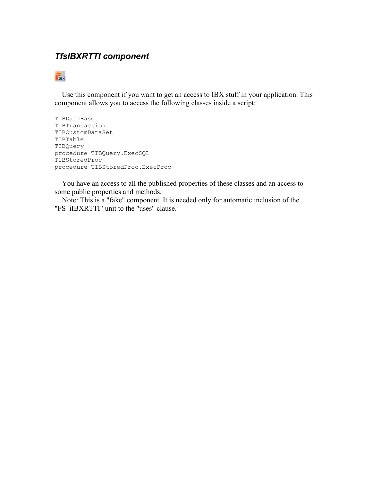## *TfsIBXRTTI component*

## TEX<sup>1</sup>

 Use this component if you want to get an access to IBX stuff in your application. This component allows you to access the following classes inside a script:

```
TIBDataBase
TIBTransaction
TIBCustomDataSet
TIBTable
TIBQuery
procedure TIBQuery.ExecSQL
TIBStoredProc
procedure TIBStoredProc.ExecProc
```
 You have an access to all the published properties of these classes and an access to some public properties and methods.

 Note: This is a "fake" component. It is needed only for automatic inclusion of the "FS\_iIBXRTTI" unit to the "uses" clause.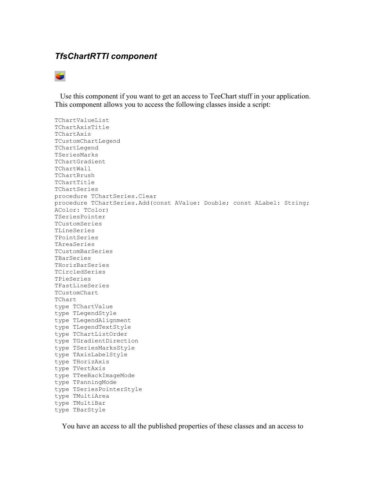#### *TfsChartRTTI component*



 Use this component if you want to get an access to TeeChart stuff in your application. This component allows you to access the following classes inside a script:

TChartValueList TChartAxisTitle TChartAxis TCustomChartLegend TChartLegend TSeriesMarks TChartGradient TChartWall TChartBrush TChartTitle TChartSeries procedure TChartSeries.Clear procedure TChartSeries.Add(const AValue: Double; const ALabel: String; AColor: TColor) TSeriesPointer TCustomSeries TLineSeries TPointSeries TAreaSeries TCustomBarSeries TBarSeries THorizBarSeries TCircledSeries TPieSeries TFastLineSeries TCustomChart TChart type TChartValue type TLegendStyle type TLegendAlignment type TLegendTextStyle type TChartListOrder type TGradientDirection type TSeriesMarksStyle type TAxisLabelStyle type THorizAxis type TVertAxis type TTeeBackImageMode type TPanningMode type TSeriesPointerStyle type TMultiArea type TMultiBar type TBarStyle

You have an access to all the published properties of these classes and an access to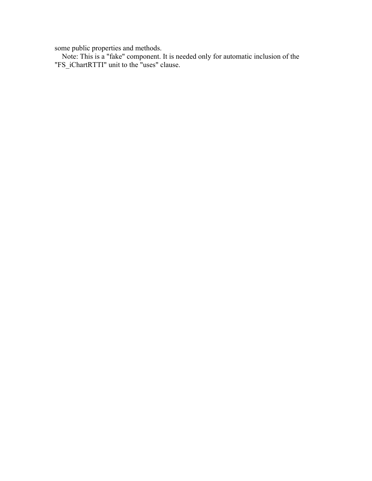some public properties and methods.

 Note: This is a "fake" component. It is needed only for automatic inclusion of the "FS\_iChartRTTI" unit to the "uses" clause.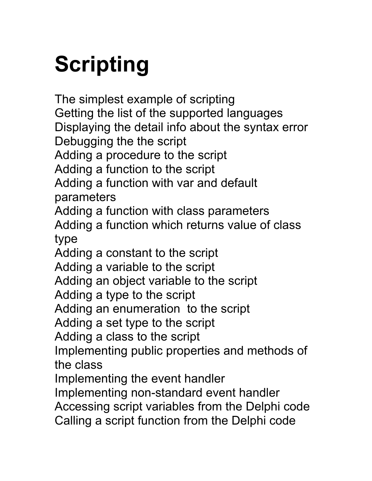# **Scripting**

The simplest example of scripting Getting the list of the supported languages Displaying the detail info about the syntax error Debugging the the script Adding a procedure to the script Adding a function to the script Adding a function with var and default parameters Adding a function with class parameters Adding a function which returns value of class type Adding a constant to the script Adding a variable to the script Adding an object variable to the script Adding a type to the script Adding an enumeration to the script Adding a set type to the script Adding a class to the script Implementing public properties and methods of the class Implementing the event handler Implementing non-standard event handler Accessing script variables from the Delphi code Calling a script function from the Delphi code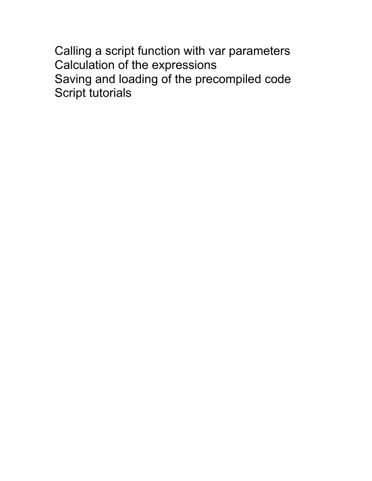Calling a script function with var parameters Calculation of the expressions Saving and loading of the precompiled code Script tutorials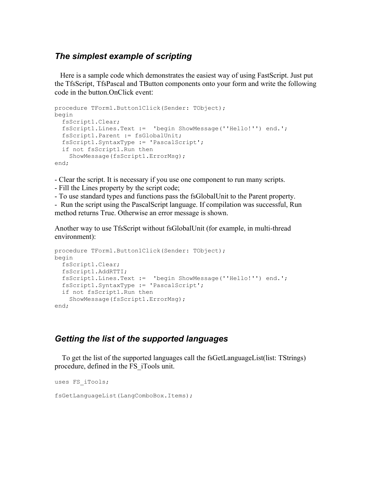## *The simplest example of scripting*

 Here is a sample code which demonstrates the easiest way of using FastScript. Just put the TfsScript, TfsPascal and TButton components onto your form and write the following code in the button.OnClick event:

```
procedure TForm1.Button1Click(Sender: TObject);
begin
  fsScript1.Clear;
  fsScript1.Lines.Text := 'begin ShowMessage(''Hello!'') end.';
  fsScript1.Parent := fsGlobalUnit;
  fsScript1.SyntaxType := 'PascalScript';
  if not fsScript1.Run then
     ShowMessage(fsScript1.ErrorMsg); 
end;
```
- Clear the script. It is necessary if you use one component to run many scripts.

- Fill the Lines property by the script code;

- To use standard types and functions pass the fsGlobalUnit to the Parent property.

- Run the script using the PascalScript language. If compilation was successful, Run method returns True. Otherwise an error message is shown.

Another way to use TfsScript without fsGlobalUnit (for example, in multi-thread environment):

```
procedure TForm1.Button1Click(Sender: TObject);
begin
  fsScript1.Clear;
  fsScript1.AddRTTI;
  fsScript1.Lines.Text := 'begin ShowMessage(''Hello!'') end.';
   fsScript1.SyntaxType := 'PascalScript';
   if not fsScript1.Run then
     ShowMessage(fsScript1.ErrorMsg); 
end;
```
## *Getting the list of the supported languages*

 To get the list of the supported languages call the fsGetLanguageList(list: TStrings) procedure, defined in the FS\_iTools unit.

```
uses FS_iTools;
fsGetLanguageList(LangComboBox.Items);
```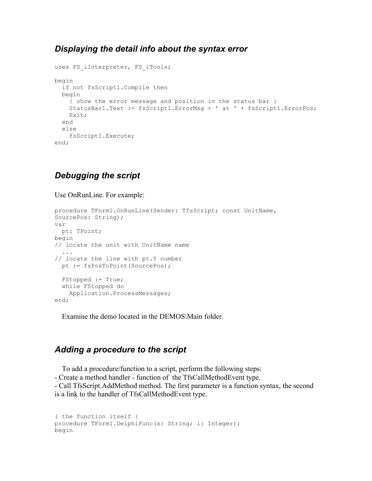## *Displaying the detail info about the syntax error*

```
uses FS iInterpreter, FS iTools;
begin
  if not fsScript1.Compile then
  begin
     { show the error message and position in the status bar }
    StatusBar1.Text := fsScript1.ErrorMsg + ' at ' + fsScript1.ErrorPos;
     Exit;
   end
   else
     fsScript1.Execute;
end;
```
## *Debugging the script*

Use OnRunLine. For example:

```
procedure TForm1.OnRunLine(Sender: TfsScript; const UnitName,
SourcePos: String);
var
  pt: TPoint;
begin
// locate the unit with UnitName name
    ...
// locate the line with pt.Y number
   pt := fsPosToPoint(SourcePos);
   FStopped := True;
   while FStopped do
     Application.ProcessMessages;
end;
```
Examine the demo located in the DEMOS\Main folder.

## *Adding a procedure to the script*

To add a procedure/function to a script, perform the following steps:

- Create a method handler - function of the TfsCallMethodEvent type.

- Call TfsScript.AddMethod method. The first parameter is a function syntax, the second is a link to the handler of TfsCallMethodEvent type.

```
{ the function itself }
procedure TForm1.DelphiFunc(s: String; i: Integer); 
begin
```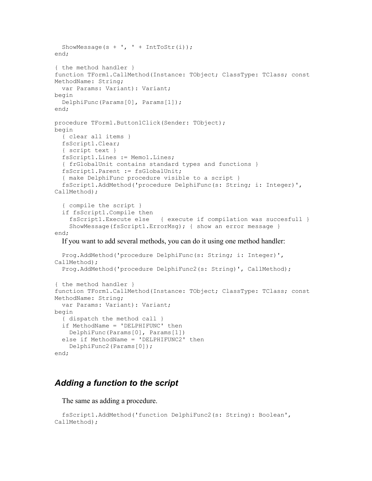```
ShowMessage(s + ', ' + IntToStr(i));
end; 
{ the method handler }
function TForm1.CallMethod(Instance: TObject; ClassType: TClass; const
MethodName: String; 
  var Params: Variant): Variant; 
begin 
  DelphiFunc(Params[0], Params[1]); 
end; 
procedure TForm1.Button1Click(Sender: TObject);
begin
   { clear all items }
  fsScript1.Clear;
   { script text }
   fsScript1.Lines := Memo1.Lines;
   { frGlobalUnit contains standard types and functions }
   fsScript1.Parent := fsGlobalUnit;
   { make DelphiFunc procedure visible to a script }
   fsScript1.AddMethod('procedure DelphiFunc(s: String; i: Integer)',
CallMethod);
   { compile the script }
   if fsScript1.Compile then
     fsScript1.Execute else { execute if compilation was succesfull }
    ShowMessage(fsScript1.ErrorMsg); { show an error message }
end;
   If you want to add several methods, you can do it using one method handler:
   Prog.AddMethod('procedure DelphiFunc(s: String; i: Integer)',
CallMethod); 
   Prog.AddMethod('procedure DelphiFunc2(s: String)', CallMethod); 
{ the method handler }
function TForm1.CallMethod(Instance: TObject; ClassType: TClass; const
MethodName: String; 
   var Params: Variant): Variant; 
begin 
  { dispatch the method call } 
   if MethodName = 'DELPHIFUNC' then 
     DelphiFunc(Params[0], Params[1]) 
   else if MethodName = 'DELPHIFUNC2' then 
     DelphiFunc2(Params[0]); 
end;
```
## *Adding a function to the script*

The same as adding a procedure.

```
 fsScript1.AddMethod('function DelphiFunc2(s: String): Boolean',
CallMethod);
```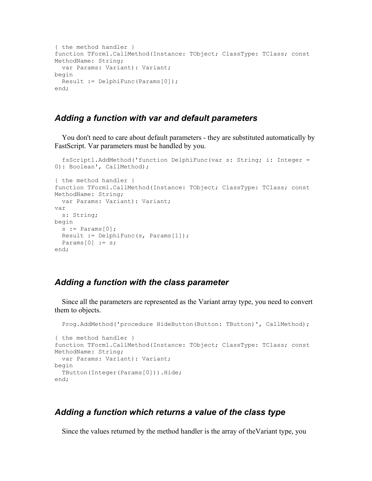```
{ the method handler }
function TForm1.CallMethod(Instance: TObject; ClassType: TClass; const
MethodName: String; 
   var Params: Variant): Variant; 
begin 
 Result := DelphiFunc(Params[0]);
end;
```
## *Adding a function with var and default parameters*

 You don't need to care about default parameters - they are substituted automatically by FastScript. Var parameters must be handled by you.

```
 fsScript1.AddMethod('function DelphiFunc(var s: String; i: Integer =
0): Boolean', CallMethod); 
{ the method handler }
function TForm1.CallMethod(Instance: TObject; ClassType: TClass; const
MethodName: String; 
  var Params: Variant): Variant; 
var
   s: String;
begin 
 s := Params[0];
 Result := DelphiFunc(s, Params[1]);
 Params[0] := s;end;
```
## *Adding a function with the class parameter*

 Since all the parameters are represented as the Variant array type, you need to convert them to objects.

```
Prog.AddMethod('procedure HideButton(Button: TButton)', CallMethod);
{ the method handler }
function TForm1.CallMethod(Instance: TObject; ClassType: TClass; const
MethodName: String; 
  var Params: Variant): Variant; 
begin 
  TButton(Integer(Params[0])).Hide;
end;
```
#### *Adding a function which returns a value of the class type*

Since the values returned by the method handler is the array of theVariant type, you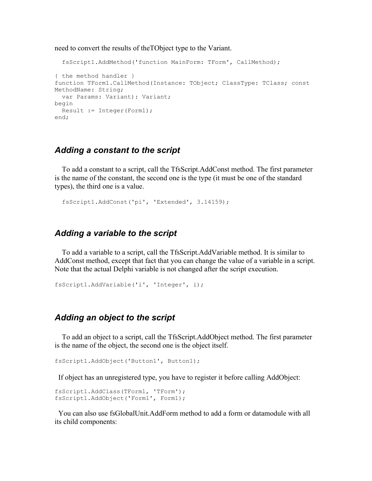need to convert the results of theTObject type to the Variant.

```
 fsScript1.AddMethod('function MainForm: TForm', CallMethod); 
{ the method handler }
function TForm1.CallMethod(Instance: TObject; ClassType: TClass; const
MethodName: String; 
  var Params: Variant): Variant; 
begin 
  Result := Integer(Form1);
end;
```
#### *Adding a constant to the script*

 To add a constant to a script, call the TfsScript.AddConst method. The first parameter is the name of the constant, the second one is the type (it must be one of the standard types), the third one is a value.

```
 fsScript1.AddConst('pi', 'Extended', 3.14159);
```
#### *Adding a variable to the script*

 To add a variable to a script, call the TfsScript.AddVariable method. It is similar to AddConst method, except that fact that you can change the value of a variable in a script. Note that the actual Delphi variable is not changed after the script execution.

```
fsScript1.AddVariable('i', 'Integer', i);
```
## *Adding an object to the script*

 To add an object to a script, call the TfsScript.AddObject method. The first parameter is the name of the object, the second one is the object itself.

```
fsScript1.AddObject('Button1', Button1);
```
If object has an unregistered type, you have to register it before calling AddObject:

```
fsScript1.AddClass(TForm1, 'TForm'); 
fsScript1.AddObject('Form1', Form1);
```
 You can also use fsGlobalUnit.AddForm method to add a form or datamodule with all its child components: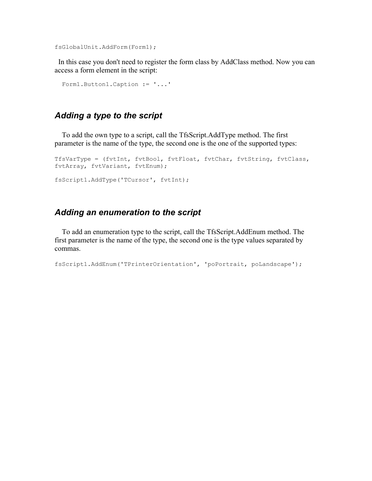fsGlobalUnit.AddForm(Form1);

 In this case you don't need to register the form class by AddClass method. Now you can access a form element in the script:

```
 Form1.Button1.Caption := '...'
```
## *Adding a type to the script*

 To add the own type to a script, call the TfsScript.AddType method. The first parameter is the name of the type, the second one is the one of the supported types:

```
TfsVarType = (fvtInt, fvtBool, fvtFloat, fvtChar, fvtString, fvtClass,
fvtArray, fvtVariant, fvtEnum);
fsScript1.AddType('TCursor', fvtInt);
```
## *Adding an enumeration to the script*

 To add an enumeration type to the script, call the TfsScript.AddEnum method. The first parameter is the name of the type, the second one is the type values separated by commas.

```
fsScript1.AddEnum('TPrinterOrientation', 'poPortrait, poLandscape');
```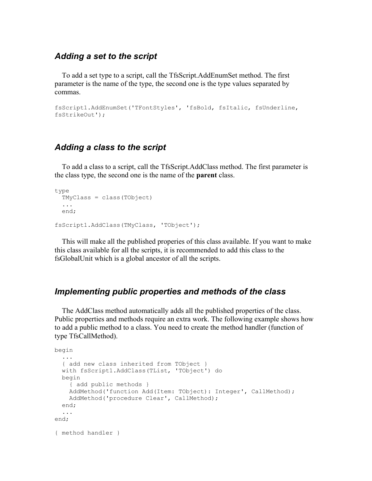#### *Adding a set to the script*

 To add a set type to a script, call the TfsScript.AddEnumSet method. The first parameter is the name of the type, the second one is the type values separated by commas.

```
fsScript1.AddEnumSet('TFontStyles', 'fsBold, fsItalic, fsUnderline,
fsStrikeOut');
```
## *Adding a class to the script*

 To add a class to a script, call the TfsScript.AddClass method. The first parameter is the class type, the second one is the name of the **parent** class.

```
type
   TMyClass = class(TObject)
   ...
   end;
fsScript1.AddClass(TMyClass, 'TObject');
```
 This will make all the published properies of this class available. If you want to make this class available for all the scripts, it is recommended to add this class to the fsGlobalUnit which is a global ancestor of all the scripts.

## *Implementing public properties and methods of the class*

 The AddClass method automatically adds all the published properties of the class. Public properties and methods require an extra work. The following example shows how to add a public method to a class. You need to create the method handler (function of type TfsCallMethod).

```
begin 
 ... 
   { add new class inherited from TObject } 
   with fsScript1.AddClass(TList, 'TObject') do 
   begin 
     { add public methods } 
    AddMethod('function Add(Item: TObject): Integer', CallMethod); 
     AddMethod('procedure Clear', CallMethod); 
  end; 
   ... 
end; 
{ method handler }
```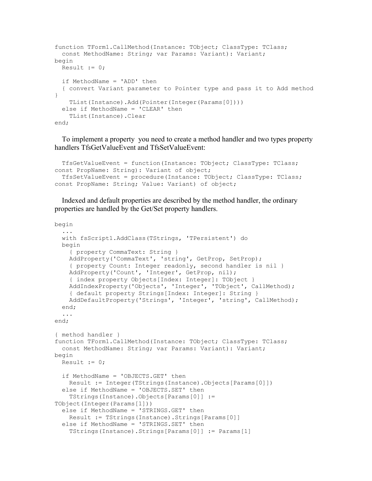```
function TForm1.CallMethod(Instance: TObject; ClassType: TClass; 
   const MethodName: String; var Params: Variant): Variant; 
begin 
 Result := 0; if MethodName = 'ADD' then 
   { convert Variant parameter to Pointer type and pass it to Add method
} 
     TList(Instance).Add(Pointer(Integer(Params[0]))) 
   else if MethodName = 'CLEAR' then 
     TList(Instance).Clear 
end;
```
 To implement a property you need to create a method handler and two types property handlers TfsGetValueEvent and TfsSetValueEvent:

```
 TfsGetValueEvent = function(Instance: TObject; ClassType: TClass;
const PropName: String): Variant of object;
  TfsSetValueEvent = procedure(Instance: TObject; ClassType: TClass;
const PropName: String; Value: Variant) of object;
```
 Indexed and default properties are described by the method handler, the ordinary properties are handled by the Get/Set property handlers.

```
begin 
 ... 
   with fsScript1.AddClass(TStrings, 'TPersistent') do 
   begin 
     { property CommaText: String } 
     AddProperty('CommaText', 'string', GetProp, SetProp); 
     { property Count: Integer readonly, second handler is nil } 
     AddProperty('Count', 'Integer', GetProp, nil); 
     { index property Objects[Index: Integer]: TObject } 
     AddIndexProperty('Objects', 'Integer', 'TObject', CallMethod); 
     { default property Strings[Index: Integer]: String } 
     AddDefaultProperty('Strings', 'Integer', 'string', CallMethod); 
   end; 
   ... 
end; 
{ method handler }
function TForm1.CallMethod(Instance: TObject; ClassType: TClass; 
  const MethodName: String; var Params: Variant): Variant; 
begin 
 Result := 0;
   if MethodName = 'OBJECTS.GET' then 
     Result := Integer(TStrings(Instance).Objects[Params[0]]) 
   else if MethodName = 'OBJECTS.SET' then 
     TStrings(Instance).Objects[Params[0]] :=
TObject(Integer(Params[1])) 
   else if MethodName = 'STRINGS.GET' then 
     Result := TStrings(Instance).Strings[Params[0]] 
   else if MethodName = 'STRINGS.SET' then 
     TStrings(Instance).Strings[Params[0]] := Params[1]
```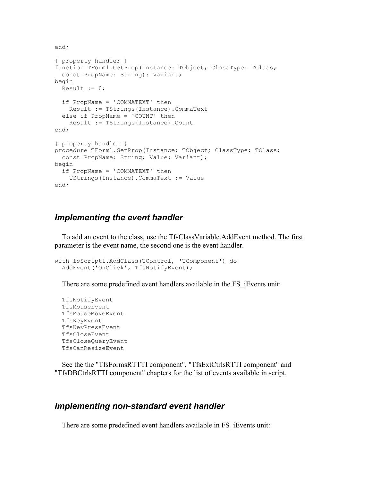end;

```
{ property handler }
function TForm1.GetProp(Instance: TObject; ClassType: TClass; 
   const PropName: String): Variant; 
begin 
 Result := 0; if PropName = 'COMMATEXT' then 
     Result := TStrings(Instance).CommaText 
   else if PropName = 'COUNT' then 
     Result := TStrings(Instance).Count 
end; 
{ property handler }
procedure TForm1.SetProp(Instance: TObject; ClassType: TClass; 
   const PropName: String; Value: Variant); 
begin 
   if PropName = 'COMMATEXT' then 
     TStrings(Instance).CommaText := Value 
end;
```
## *Implementing the event handler*

 To add an event to the class, use the TfsClassVariable.AddEvent method. The first parameter is the event name, the second one is the event handler.

```
with fsScript1.AddClass(TControl, 'TComponent') do
  AddEvent('OnClick', TfsNotifyEvent);
```
There are some predefined event handlers available in the FS iEvents unit:

 TfsNotifyEvent TfsMouseEvent TfsMouseMoveEvent TfsKeyEvent TfsKeyPressEvent TfsCloseEvent TfsCloseQueryEvent TfsCanResizeEvent

 See the the "TfsFormsRTTTI component", "TfsExtCtrlsRTTI component" and "TfsDBCtrlsRTTI component" chapters for the list of events available in script.

#### *Implementing non-standard event handler*

There are some predefined event handlers available in FS\_iEvents unit: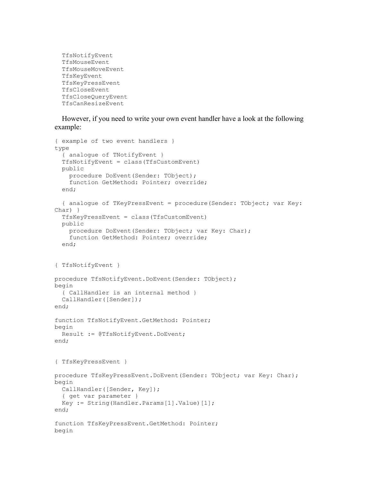```
 TfsNotifyEvent
 TfsMouseEvent
 TfsMouseMoveEvent
 TfsKeyEvent
 TfsKeyPressEvent
 TfsCloseEvent
 TfsCloseQueryEvent
 TfsCanResizeEvent
```
 However, if you need to write your own event handler have a look at the following example:

```
{ example of two event handlers }
type 
   { analogue of TNotifyEvent } 
   TfsNotifyEvent = class(TfsCustomEvent) 
   public 
     procedure DoEvent(Sender: TObject); 
     function GetMethod: Pointer; override; 
   end; 
   { analogue of TKeyPressEvent = procedure(Sender: TObject; var Key:
Char) } 
   TfsKeyPressEvent = class(TfsCustomEvent) 
   public 
     procedure DoEvent(Sender: TObject; var Key: Char); 
     function GetMethod: Pointer; override; 
   end; 
{ TfsNotifyEvent } 
procedure TfsNotifyEvent.DoEvent(Sender: TObject); 
begin 
   { CallHandler is an internal method } 
   CallHandler([Sender]); 
end; 
function TfsNotifyEvent.GetMethod: Pointer; 
begin 
   Result := @TfsNotifyEvent.DoEvent; 
end; 
{ TfsKeyPressEvent } 
procedure TfsKeyPressEvent.DoEvent(Sender: TObject; var Key: Char); 
begin 
   CallHandler([Sender, Key]); 
   { get var parameter } 
  Key := String(Handler.Params[1].Value)[1];
end; 
function TfsKeyPressEvent.GetMethod: Pointer; 
begin
```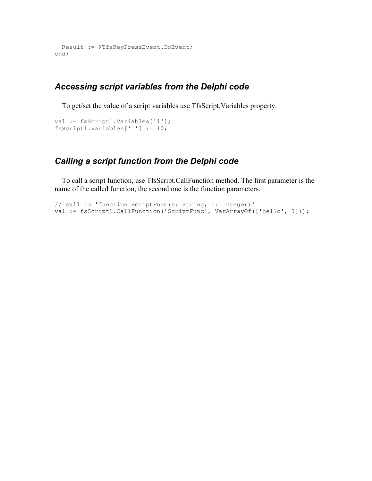```
 Result := @TfsKeyPressEvent.DoEvent; 
end;
```
## *Accessing script variables from the Delphi code*

To get/set the value of a script variables use TfsScript.Variables property.

```
val := fsScript1.Variables['i']; 
fsScript1.Variables['i'] := 10;
```
## *Calling a script function from the Delphi code*

 To call a script function, use TfsScript.CallFunction method. The first parameter is the name of the called function, the second one is the function parameters.

```
// call to 'function ScriptFunc(s: String; i: Integer)'
val := fsScript1.CallFunction('ScriptFunc', VarArrayOf(['hello', 1]));
```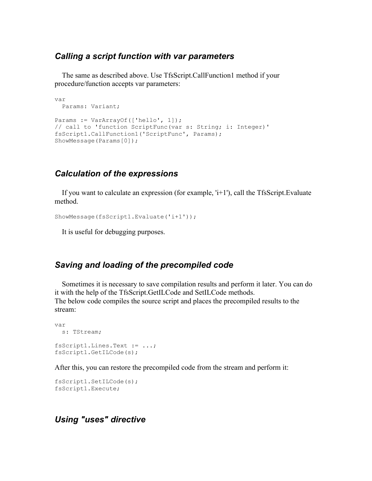## *Calling a script function with var parameters*

 The same as described above. Use TfsScript.CallFunction1 method if your procedure/function accepts var parameters:

```
var
  Params: Variant;
Params := VarArrayOf(['hello', 1]);
// call to 'function ScriptFunc(var s: String; i: Integer)'
fsScript1.CallFunction1('ScriptFunc', Params); 
ShowMessage(Params[0]);
```
## *Calculation of the expressions*

 If you want to calculate an expression (for example, 'i+1'), call the TfsScript.Evaluate method.

```
ShowMessage(fsScript1.Evaluate('i+1'));
```
It is useful for debugging purposes.

## *Saving and loading of the precompiled code*

 Sometimes it is necessary to save compilation results and perform it later. You can do it with the help of the TfsScript.GetILCode and SetILCode methods. The below code compiles the source script and places the precompiled results to the stream:

```
var
  s: TStream;
fsScript1.Lines.Text := ...; 
fsScript1.GetILCode(s);
```
After this, you can restore the precompiled code from the stream and perform it:

```
fsScript1.SetILCode(s);
fsScript1.Execute;
```
## *Using "uses" directive*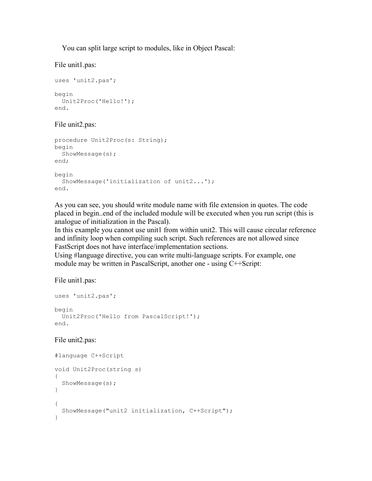You can split large script to modules, like in Object Pascal:

File unit1.pas:

```
uses 'unit2.pas';
begin
  Unit2Proc('Hello!');
end.
```
#### File unit2.pas:

```
procedure Unit2Proc(s: String);
begin
   ShowMessage(s);
end;
begin
   ShowMessage('initialization of unit2...');
end.
```
As you can see, you should write module name with file extension in quotes. The code placed in begin..end of the included module will be executed when you run script (this is analogue of initialization in the Pascal).

In this example you cannot use unit1 from within unit2. This will cause circular reference and infinity loop when compiling such script. Such references are not allowed since FastScript does not have interface/implementation sections.

Using #language directive, you can write multi-language scripts. For example, one module may be written in PascalScript, another one - using C++Script:

File unit1.pas:

```
uses 'unit2.pas';
begin
  Unit2Proc('Hello from PascalScript!');
end.
```
#### File unit2.pas:

```
#language C++Script
void Unit2Proc(string s)
{
   ShowMessage(s);
}
{
   ShowMessage("unit2 initialization, C++Script");
}
```